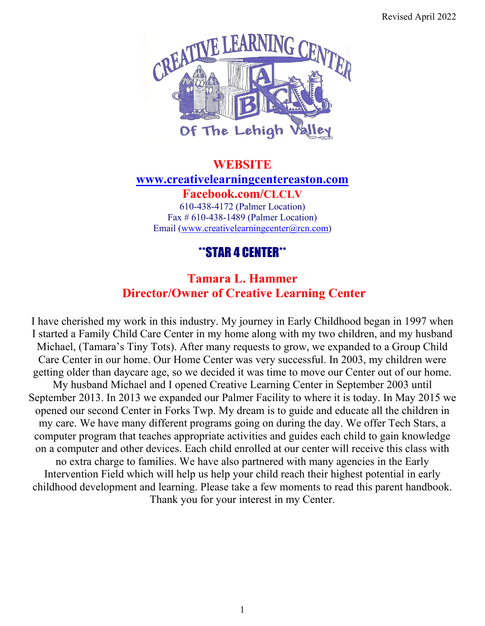Revised April 2022



# **WEBSITE [www.creativelearningcentereaston.com](http://www.creativelearningcentereaston.com/) Facebook.com/CLCLV** 610-438-4172 (Palmer Location) Fax # 610-438-1489 (Palmer Location)

Email (www[.creativelearningcenter@rcn.com\)](mailto:creativelearningcenter@rcn.com)

# \*\*STAR 4 CENTER\*\*

# **Tamara L. Hammer Director/Owner of Creative Learning Center**

I have cherished my work in this industry. My journey in Early Childhood began in 1997 when I started a Family Child Care Center in my home along with my two children, and my husband Michael, (Tamara's Tiny Tots). After many requests to grow, we expanded to a Group Child Care Center in our home. Our Home Center was very successful. In 2003, my children were getting older than daycare age, so we decided it was time to move our Center out of our home. My husband Michael and I opened Creative Learning Center in September 2003 until September 2013. In 2013 we expanded our Palmer Facility to where it is today. In May 2015 we opened our second Center in Forks Twp. My dream is to guide and educate all the children in my care. We have many different programs going on during the day. We offer Tech Stars, a computer program that teaches appropriate activities and guides each child to gain knowledge on a computer and other devices. Each child enrolled at our center will receive this class with no extra charge to families. We have also partnered with many agencies in the Early Intervention Field which will help us help your child reach their highest potential in early childhood development and learning. Please take a few moments to read this parent handbook. Thank you for your interest in my Center.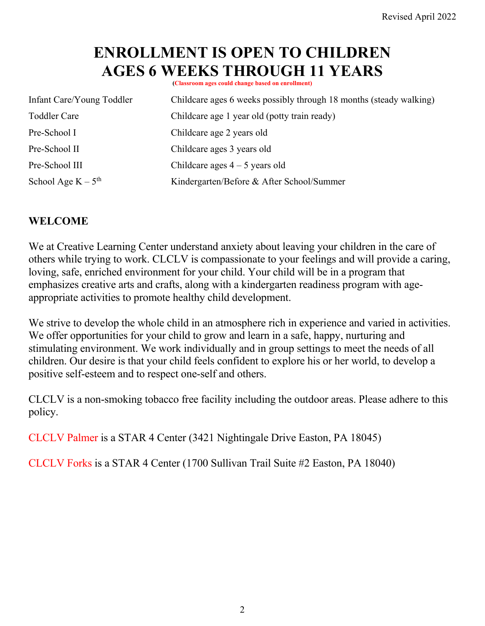# **ENROLLMENT IS OPEN TO CHILDREN**  AGES 6 WEEKS THROUGH 11 YEARS

| Infant Care/Young Toddler | Childcare ages 6 weeks possibly through 18 months (steady walking) |
|---------------------------|--------------------------------------------------------------------|
| <b>Toddler Care</b>       | Childcare age 1 year old (potty train ready)                       |
| Pre-School I              | Childcare age 2 years old                                          |
| Pre-School II             | Childcare ages 3 years old                                         |
| Pre-School III            | Childcare ages $4 - 5$ years old                                   |
| School Age $K - 5th$      | Kindergarten/Before & After School/Summer                          |

#### **WELCOME**

We at Creative Learning Center understand anxiety about leaving your children in the care of others while trying to work. CLCLV is compassionate to your feelings and will provide a caring, loving, safe, enriched environment for your child. Your child will be in a program that emphasizes creative arts and crafts, along with a kindergarten readiness program with ageappropriate activities to promote healthy child development.

We strive to develop the whole child in an atmosphere rich in experience and varied in activities. We offer opportunities for your child to grow and learn in a safe, happy, nurturing and stimulating environment. We work individually and in group settings to meet the needs of all children. Our desire is that your child feels confident to explore his or her world, to develop a positive self-esteem and to respect one-self and others.

CLCLV is a non-smoking tobacco free facility including the outdoor areas. Please adhere to this policy.

CLCLV Palmer is a STAR 4 Center (3421 Nightingale Drive Easton, PA 18045)

CLCLV Forks is a STAR 4 Center (1700 Sullivan Trail Suite #2 Easton, PA 18040)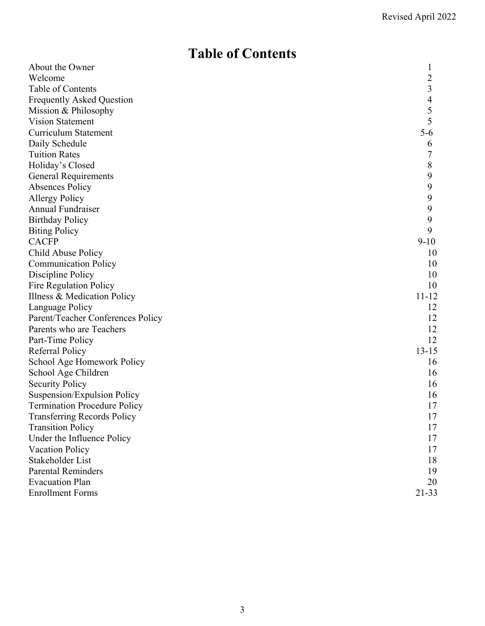# **Table of Contents**

| About the Owner                     | $\mathbf{I}$   |
|-------------------------------------|----------------|
| Welcome                             | $\overline{c}$ |
| Table of Contents                   | 3              |
| <b>Frequently Asked Question</b>    | $\overline{4}$ |
| Mission & Philosophy                | 5              |
| <b>Vision Statement</b>             | 5              |
| <b>Curriculum Statement</b>         | $5 - 6$        |
| Daily Schedule                      | 6              |
| <b>Tuition Rates</b>                |                |
| Holiday's Closed                    | 8              |
| <b>General Requirements</b>         | 9              |
| Absences Policy                     | 9              |
| <b>Allergy Policy</b>               | 9              |
| Annual Fundraiser                   | 9              |
| <b>Birthday Policy</b>              | 9              |
| <b>Biting Policy</b>                | 9              |
| <b>CACFP</b>                        | $9-10$         |
| Child Abuse Policy                  | 10             |
| <b>Communication Policy</b>         | 10             |
| Discipline Policy                   | 10             |
| Fire Regulation Policy              | 10             |
| Illness & Medication Policy         | 11-12          |
| Language Policy                     | 12             |
| Parent/Teacher Conferences Policy   | 12             |
| Parents who are Teachers            | 12             |
| Part-Time Policy                    | 12             |
| Referral Policy                     | $13 - 15$      |
| School Age Homework Policy          | 16             |
| School Age Children                 | 16             |
| <b>Security Policy</b>              | 16             |
| Suspension/Expulsion Policy         | 16             |
| <b>Termination Procedure Policy</b> | 17             |
| <b>Transferring Records Policy</b>  | 17             |
| <b>Transition Policy</b>            | 17             |
| Under the Influence Policy          | 17             |
| <b>Vacation Policy</b>              | 17             |
| Stakeholder List                    | 18             |
| <b>Parental Reminders</b>           | 19             |
| <b>Evacuation Plan</b>              | 20             |
| <b>Enrollment Forms</b>             | $21 - 33$      |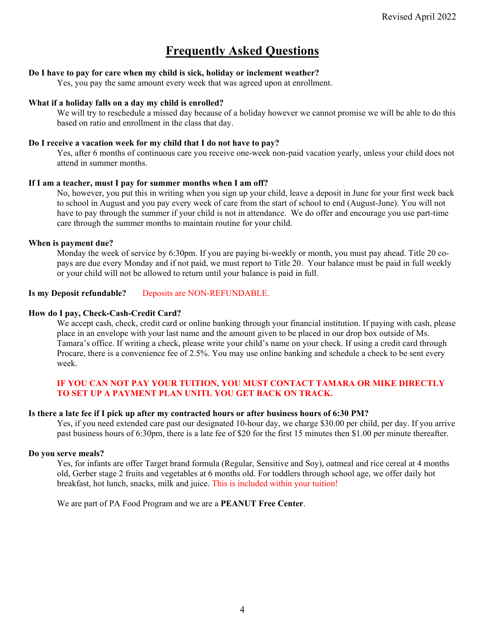# **Frequently Asked Questions**

#### **Do I have to pay for care when my child is sick, holiday or inclement weather?**

Yes, you pay the same amount every week that was agreed upon at enrollment.

#### **What if a holiday falls on a day my child is enrolled?**

We will try to reschedule a missed day because of a holiday however we cannot promise we will be able to do this based on ratio and enrollment in the class that day.

#### **Do I receive a vacation week for my child that I do not have to pay?**

Yes, after 6 months of continuous care you receive one-week non-paid vacation yearly, unless your child does not attend in summer months.

#### **If I am a teacher, must I pay for summer months when I am off?**

No, however, you put this in writing when you sign up your child, leave a deposit in June for your first week back to school in August and you pay every week of care from the start of school to end (August-June). You will not have to pay through the summer if your child is not in attendance. We do offer and encourage you use part-time care through the summer months to maintain routine for your child.

#### **When is payment due?**

Monday the week of service by 6:30pm. If you are paying bi-weekly or month, you must pay ahead. Title 20 copays are due every Monday and if not paid, we must report to Title 20. Your balance must be paid in full weekly or your child will not be allowed to return until your balance is paid in full.

#### Is my Deposit refundable? Deposits are NON-REFUNDABLE.

#### **How do I pay, Check-Cash-Credit Card?**

We accept cash, check, credit card or online banking through your financial institution. If paying with cash, please place in an envelope with your last name and the amount given to be placed in our drop box outside of Ms. Tamara's office. If writing a check, please write your child's name on your check. If using a credit card through Procare, there is a convenience fee of 2.5%. You may use online banking and schedule a check to be sent every week.

#### **IF YOU CAN NOT PAY YOUR TUITION, YOU MUST CONTACT TAMARA OR MIKE DIRECTLY TO SET UP A PAYMENT PLAN UNITL YOU GET BACK ON TRACK.**

#### **Is there a late fee if I pick up after my contracted hours or after business hours of 6:30 PM?**

Yes, if you need extended care past our designated 10-hour day, we charge \$30.00 per child, per day. If you arrive past business hours of 6:30pm, there is a late fee of \$20 for the first 15 minutes then \$1.00 per minute thereafter.

#### **Do you serve meals?**

Yes, for infants are offer Target brand formula (Regular, Sensitive and Soy), oatmeal and rice cereal at 4 months old, Gerber stage 2 fruits and vegetables at 6 months old. For toddlers through school age, we offer daily hot breakfast, hot lunch, snacks, milk and juice. This is included within your tuition!

We are part of PA Food Program and we are a **PEANUT Free Center**.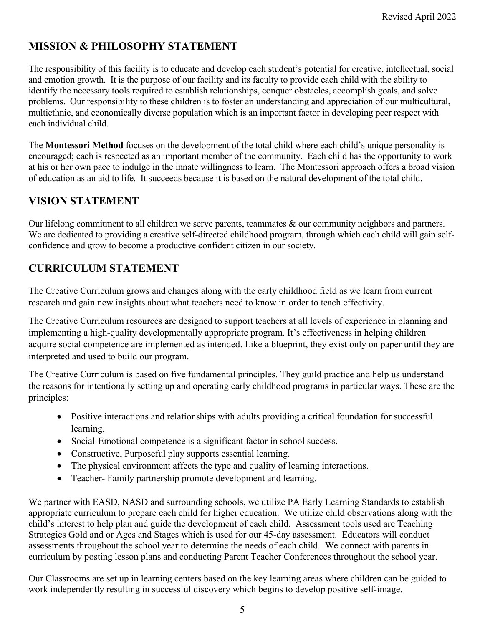# **MISSION & PHILOSOPHY STATEMENT**

The responsibility of this facility is to educate and develop each student's potential for creative, intellectual, social and emotion growth. It is the purpose of our facility and its faculty to provide each child with the ability to identify the necessary tools required to establish relationships, conquer obstacles, accomplish goals, and solve problems. Our responsibility to these children is to foster an understanding and appreciation of our multicultural, multiethnic, and economically diverse population which is an important factor in developing peer respect with each individual child.

The **Montessori Method** focuses on the development of the total child where each child's unique personality is encouraged; each is respected as an important member of the community. Each child has the opportunity to work at his or her own pace to indulge in the innate willingness to learn. The Montessori approach offers a broad vision of education as an aid to life. It succeeds because it is based on the natural development of the total child.

### **VISION STATEMENT**

Our lifelong commitment to all children we serve parents, teammates & our community neighbors and partners. We are dedicated to providing a creative self-directed childhood program, through which each child will gain selfconfidence and grow to become a productive confident citizen in our society.

# **CURRICULUM STATEMENT**

The Creative Curriculum grows and changes along with the early childhood field as we learn from current research and gain new insights about what teachers need to know in order to teach effectivity.

The Creative Curriculum resources are designed to support teachers at all levels of experience in planning and implementing a high-quality developmentally appropriate program. It's effectiveness in helping children acquire social competence are implemented as intended. Like a blueprint, they exist only on paper until they are interpreted and used to build our program.

The Creative Curriculum is based on five fundamental principles. They guild practice and help us understand the reasons for intentionally setting up and operating early childhood programs in particular ways. These are the principles:

- Positive interactions and relationships with adults providing a critical foundation for successful learning.
- Social-Emotional competence is a significant factor in school success.
- Constructive, Purposeful play supports essential learning.
- The physical environment affects the type and quality of learning interactions.
- Teacher- Family partnership promote development and learning.

We partner with EASD, NASD and surrounding schools, we utilize PA Early Learning Standards to establish appropriate curriculum to prepare each child for higher education. We utilize child observations along with the child's interest to help plan and guide the development of each child. Assessment tools used are Teaching Strategies Gold and or Ages and Stages which is used for our 45-day assessment. Educators will conduct assessments throughout the school year to determine the needs of each child. We connect with parents in curriculum by posting lesson plans and conducting Parent Teacher Conferences throughout the school year.

Our Classrooms are set up in learning centers based on the key learning areas where children can be guided to work independently resulting in successful discovery which begins to develop positive self-image.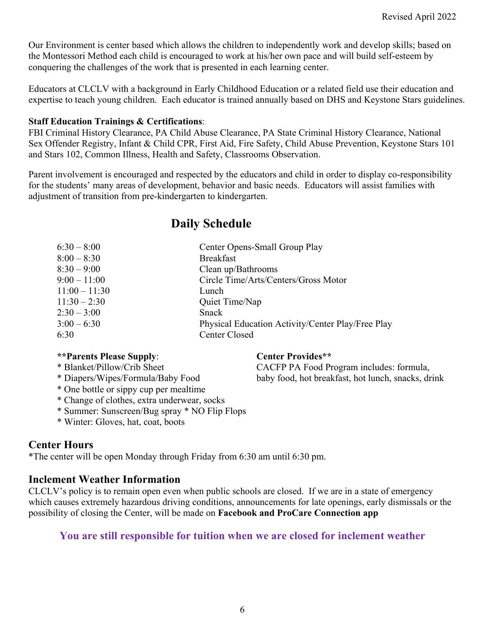Our Environment is center based which allows the children to independently work and develop skills; based on the Montessori Method each child is encouraged to work at his/her own pace and will build self-esteem by conquering the challenges of the work that is presented in each learning center.

Educators at CLCLV with a background in Early Childhood Education or a related field use their education and expertise to teach young children. Each educator is trained annually based on DHS and Keystone Stars guidelines.

#### **Staff Education Trainings & Certifications**:

FBI Criminal History Clearance, PA Child Abuse Clearance, PA State Criminal History Clearance, National Sex Offender Registry, Infant & Child CPR, First Aid, Fire Safety, Child Abuse Prevention, Keystone Stars 101 and Stars 102, Common Illness, Health and Safety, Classrooms Observation.

Parent involvement is encouraged and respected by the educators and child in order to display co-responsibility for the students' many areas of development, behavior and basic needs. Educators will assist families with adjustment of transition from pre-kindergarten to kindergarten.

# **Daily Schedule**

| Center Opens-Small Group Play                     |
|---------------------------------------------------|
| <b>Breakfast</b>                                  |
| Clean up/Bathrooms                                |
| Circle Time/Arts/Centers/Gross Motor              |
| Lunch                                             |
| Quiet Time/Nap                                    |
| Snack                                             |
| Physical Education Activity/Center Play/Free Play |
| <b>Center Closed</b>                              |
|                                                   |

#### **\*\*Parents Please Supply**: **Center Provides\*\***

- \* Blanket/Pillow/Crib Sheet CACFP PA Food Program includes: formula,
- \* Diapers/Wipes/Formula/Baby Food baby food, hot breakfast, hot lunch, snacks, drink
- \* One bottle or sippy cup per mealtime
- \* Change of clothes, extra underwear, socks
- \* Summer: Sunscreen/Bug spray \* NO Flip Flops
- \* Winter: Gloves, hat, coat, boots

#### **Center Hours**

\*The center will be open Monday through Friday from 6:30 am until 6:30 pm.

#### **Inclement Weather Information**

CLCLV's policy is to remain open even when public schools are closed. If we are in a state of emergency which causes extremely hazardous driving conditions, announcements for late openings, early dismissals or the possibility of closing the Center, will be made on **Facebook and ProCare Connection app**

#### **You are still responsible for tuition when we are closed for inclement weather**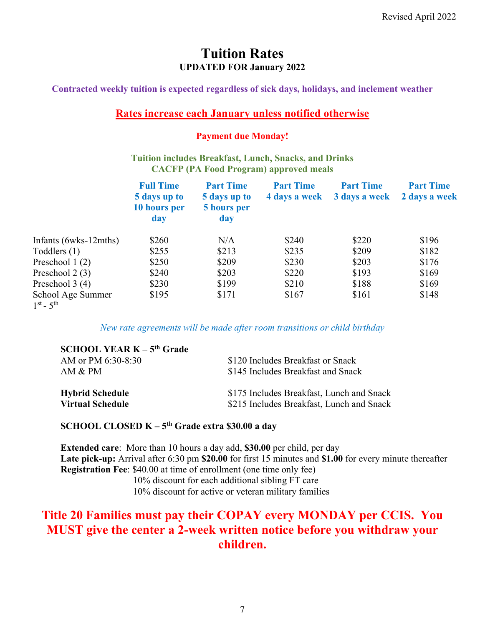### **Tuition Rates UPDATED FOR January 2022**

**Contracted weekly tuition is expected regardless of sick days, holidays, and inclement weather** 

#### **Rates increase each January unless notified otherwise**

#### **Payment due Monday!**

#### **Tuition includes Breakfast, Lunch, Snacks, and Drinks CACFP (PA Food Program) approved meals**

|                                        | <b>Full Time</b><br>5 days up to<br>10 hours per<br>day | <b>Part Time</b><br>5 days up to<br>5 hours per<br>day | <b>Part Time</b><br>4 days a week | <b>Part Time</b><br>3 days a week | <b>Part Time</b><br>2 days a week |
|----------------------------------------|---------------------------------------------------------|--------------------------------------------------------|-----------------------------------|-----------------------------------|-----------------------------------|
| Infants (6wks-12mths)                  | \$260                                                   | N/A                                                    | \$240                             | \$220                             | \$196                             |
| Toddlers (1)                           | \$255                                                   | \$213                                                  | \$235                             | \$209                             | \$182                             |
| Preschool 1 (2)                        | \$250                                                   | \$209                                                  | \$230                             | \$203                             | \$176                             |
| Preschool 2 (3)                        | \$240                                                   | \$203                                                  | \$220                             | \$193                             | \$169                             |
| Preschool 3 (4)                        | \$230                                                   | \$199                                                  | \$210                             | \$188                             | \$169                             |
| School Age Summer<br>$1^{st} - 5^{th}$ | \$195                                                   | \$171                                                  | \$167                             | \$161                             | \$148                             |

*New rate agreements will be made after room transitions or child birthday* 

| <b>SCHOOL YEAR <math>K - 5th</math> Grade</b> |                                           |
|-----------------------------------------------|-------------------------------------------|
| AM or PM 6:30-8:30                            | \$120 Includes Breakfast or Snack         |
| AM & PM                                       | \$145 Includes Breakfast and Snack        |
| <b>Hybrid Schedule</b>                        | \$175 Includes Breakfast, Lunch and Snack |
| <b>Virtual Schedule</b>                       | \$215 Includes Breakfast, Lunch and Snack |

#### **SCHOOL CLOSED K – 5th Grade extra \$30.00 a day**

**Extended care**: More than 10 hours a day add, **\$30.00** per child, per day **Late pick-up:** Arrival after 6:30 pm **\$20.00** for first 15 minutes and **\$1.00** for every minute thereafter **Registration Fee**: \$40.00 at time of enrollment (one time only fee) 10% discount for each additional sibling FT care 10% discount for active or veteran military families

# **Title 20 Families must pay their COPAY every MONDAY per CCIS. You MUST give the center a 2-week written notice before you withdraw your children.**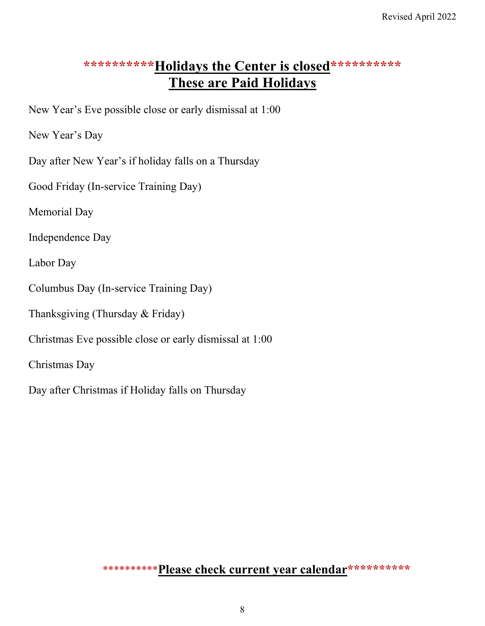# \*\*\*\*\*\*\*\*\*\*\*Holidays the Center is closed\*\*\*\*\*\*\*\*\*\*\* **These are Paid Holidays**

New Year's Eve possible close or early dismissal at 1:00

New Year's Day

Day after New Year's if holiday falls on a Thursday

Good Friday (In-service Training Day)

Memorial Day

Independence Day

Labor Day

Columbus Day (In-service Training Day)

Thanksgiving (Thursday & Friday)

Christmas Eve possible close or early dismissal at 1:00

Christmas Day

Day after Christmas if Holiday falls on Thursday

\*\*\*\*\*\*\*\*\*\***Please check current year calendar\*\*\*\*\*\*\*\*\*\***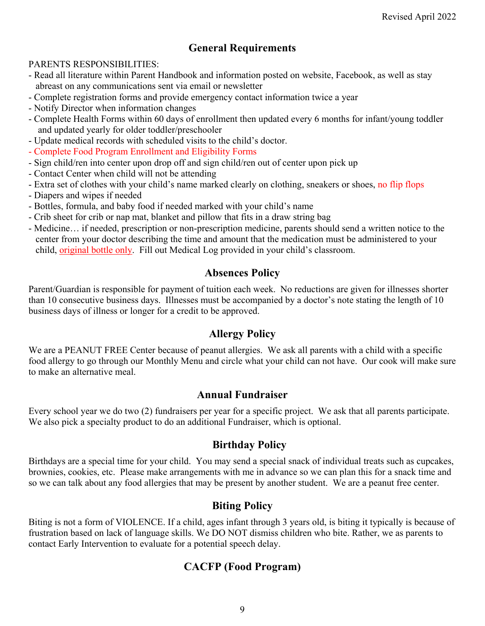### **General Requirements**

#### PARENTS RESPONSIBILITIES:

- Read all literature within Parent Handbook and information posted on website, Facebook, as well as stay abreast on any communications sent via email or newsletter
- Complete registration forms and provide emergency contact information twice a year
- Notify Director when information changes
- Complete Health Forms within 60 days of enrollment then updated every 6 months for infant/young toddler and updated yearly for older toddler/preschooler
- Update medical records with scheduled visits to the child's doctor.
- Complete Food Program Enrollment and Eligibility Forms
- Sign child/ren into center upon drop off and sign child/ren out of center upon pick up
- Contact Center when child will not be attending
- Extra set of clothes with your child's name marked clearly on clothing, sneakers or shoes, no flip flops
- Diapers and wipes if needed
- Bottles, formula, and baby food if needed marked with your child's name
- Crib sheet for crib or nap mat, blanket and pillow that fits in a draw string bag
- Medicine… if needed, prescription or non-prescription medicine, parents should send a written notice to the center from your doctor describing the time and amount that the medication must be administered to your child, original bottle only. Fill out Medical Log provided in your child's classroom.

#### **Absences Policy**

Parent/Guardian is responsible for payment of tuition each week. No reductions are given for illnesses shorter than 10 consecutive business days. Illnesses must be accompanied by a doctor's note stating the length of 10 business days of illness or longer for a credit to be approved.

#### **Allergy Policy**

We are a PEANUT FREE Center because of peanut allergies. We ask all parents with a child with a specific food allergy to go through our Monthly Menu and circle what your child can not have. Our cook will make sure to make an alternative meal.

#### **Annual Fundraiser**

Every school year we do two (2) fundraisers per year for a specific project. We ask that all parents participate. We also pick a specialty product to do an additional Fundraiser, which is optional.

#### **Birthday Policy**

Birthdays are a special time for your child. You may send a special snack of individual treats such as cupcakes, brownies, cookies, etc. Please make arrangements with me in advance so we can plan this for a snack time and so we can talk about any food allergies that may be present by another student. We are a peanut free center.

#### **Biting Policy**

Biting is not a form of VIOLENCE. If a child, ages infant through 3 years old, is biting it typically is because of frustration based on lack of language skills. We DO NOT dismiss children who bite. Rather, we as parents to contact Early Intervention to evaluate for a potential speech delay.

### **CACFP (Food Program)**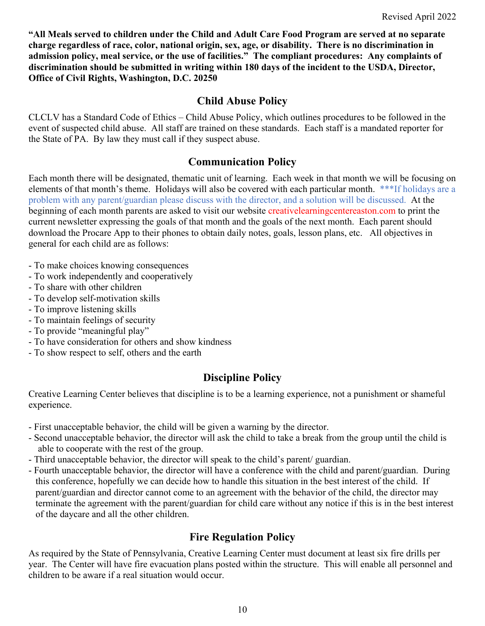**"All Meals served to children under the Child and Adult Care Food Program are served at no separate charge regardless of race, color, national origin, sex, age, or disability. There is no discrimination in admission policy, meal service, or the use of facilities." The compliant procedures: Any complaints of discrimination should be submitted in writing within 180 days of the incident to the USDA, Director, Office of Civil Rights, Washington, D.C. 20250** 

#### **Child Abuse Policy**

CLCLV has a Standard Code of Ethics – Child Abuse Policy, which outlines procedures to be followed in the event of suspected child abuse. All staff are trained on these standards. Each staff is a mandated reporter for the State of PA. By law they must call if they suspect abuse.

#### **Communication Policy**

Each month there will be designated, thematic unit of learning. Each week in that month we will be focusing on elements of that month's theme. Holidays will also be covered with each particular month. \*\*\*If holidays are a problem with any parent/guardian please discuss with the director, and a solution will be discussed. At the beginning of each month parents are asked to visit our website creativelearningcentereaston.com to print the current newsletter expressing the goals of that month and the goals of the next month. Each parent should download the Procare App to their phones to obtain daily notes, goals, lesson plans, etc. All objectives in general for each child are as follows:

- To make choices knowing consequences
- To work independently and cooperatively
- To share with other children
- To develop self-motivation skills
- To improve listening skills
- To maintain feelings of security
- To provide "meaningful play"
- To have consideration for others and show kindness
- To show respect to self, others and the earth

### **Discipline Policy**

Creative Learning Center believes that discipline is to be a learning experience, not a punishment or shameful experience.

- First unacceptable behavior, the child will be given a warning by the director.
- Second unacceptable behavior, the director will ask the child to take a break from the group until the child is able to cooperate with the rest of the group.
- Third unacceptable behavior, the director will speak to the child's parent/ guardian.
- Fourth unacceptable behavior, the director will have a conference with the child and parent/guardian. During this conference, hopefully we can decide how to handle this situation in the best interest of the child. If parent/guardian and director cannot come to an agreement with the behavior of the child, the director may terminate the agreement with the parent/guardian for child care without any notice if this is in the best interest of the daycare and all the other children.

### **Fire Regulation Policy**

As required by the State of Pennsylvania, Creative Learning Center must document at least six fire drills per year. The Center will have fire evacuation plans posted within the structure. This will enable all personnel and children to be aware if a real situation would occur.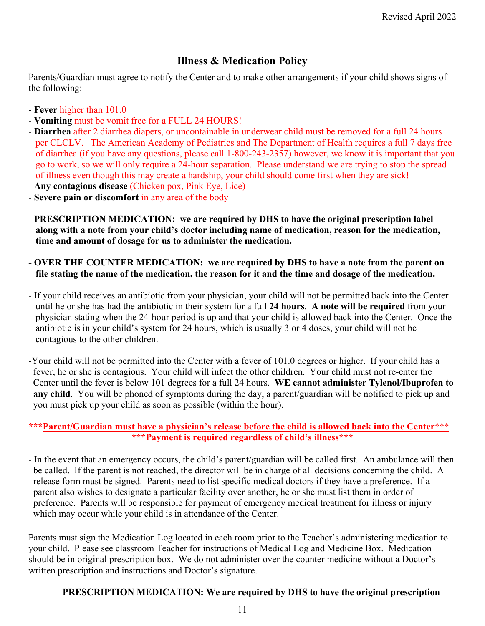# **Illness & Medication Policy**

Parents/Guardian must agree to notify the Center and to make other arrangements if your child shows signs of the following:

- **Fever** higher than 101.0
- **Vomiting** must be vomit free for a FULL 24 HOURS!
- **Diarrhea** after 2 diarrhea diapers, or uncontainable in underwear child must be removed for a full 24 hours per CLCLV. The American Academy of Pediatrics and The Department of Health requires a full 7 days free of diarrhea (if you have any questions, please call 1-800-243-2357) however, we know it is important that you go to work, so we will only require a 24-hour separation. Please understand we are trying to stop the spread of illness even though this may create a hardship, your child should come first when they are sick!
- **Any contagious disease** (Chicken pox, Pink Eye, Lice)
- **Severe pain or discomfort** in any area of the body
- **PRESCRIPTION MEDICATION: we are required by DHS to have the original prescription label along with a note from your child's doctor including name of medication, reason for the medication, time and amount of dosage for us to administer the medication.**
- **OVER THE COUNTER MEDICATION: we are required by DHS to have a note from the parent on file stating the name of the medication, the reason for it and the time and dosage of the medication.**
- If your child receives an antibiotic from your physician, your child will not be permitted back into the Center until he or she has had the antibiotic in their system for a full **24 hours**. **A note will be required** from your physician stating when the 24-hour period is up and that your child is allowed back into the Center. Once the antibiotic is in your child's system for 24 hours, which is usually 3 or 4 doses, your child will not be contagious to the other children.
- -Your child will not be permitted into the Center with a fever of 101.0 degrees or higher. If your child has a fever, he or she is contagious. Your child will infect the other children. Your child must not re-enter the Center until the fever is below 101 degrees for a full 24 hours. **WE cannot administer Tylenol/Ibuprofen to any child**. You will be phoned of symptoms during the day, a parent/guardian will be notified to pick up and you must pick up your child as soon as possible (within the hour).

#### **\*\*\*Parent/Guardian must have a physician's release before the child is allowed back into the Center**\*\*\* **\*\*\*Payment is required regardless of child's illness\*\*\***

- In the event that an emergency occurs, the child's parent/guardian will be called first. An ambulance will then be called. If the parent is not reached, the director will be in charge of all decisions concerning the child. A release form must be signed. Parents need to list specific medical doctors if they have a preference. If a parent also wishes to designate a particular facility over another, he or she must list them in order of preference. Parents will be responsible for payment of emergency medical treatment for illness or injury which may occur while your child is in attendance of the Center.

Parents must sign the Medication Log located in each room prior to the Teacher's administering medication to your child. Please see classroom Teacher for instructions of Medical Log and Medicine Box. Medication should be in original prescription box. We do not administer over the counter medicine without a Doctor's written prescription and instructions and Doctor's signature.

#### - **PRESCRIPTION MEDICATION: We are required by DHS to have the original prescription**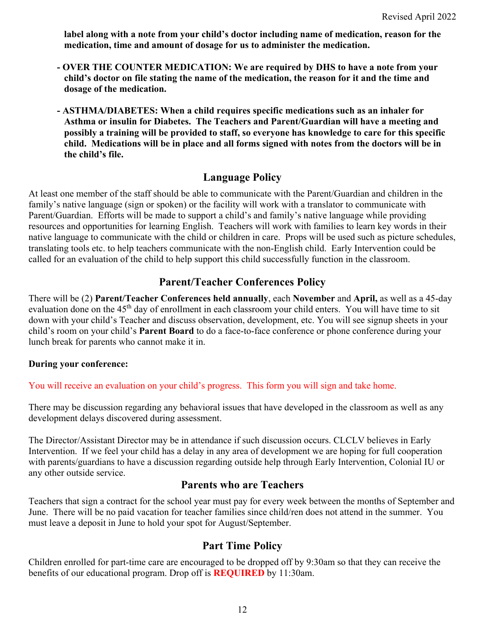**label along with a note from your child's doctor including name of medication, reason for the medication, time and amount of dosage for us to administer the medication.**

- **OVER THE COUNTER MEDICATION: We are required by DHS to have a note from your child's doctor on file stating the name of the medication, the reason for it and the time and dosage of the medication.**
- **ASTHMA/DIABETES: When a child requires specific medications such as an inhaler for Asthma or insulin for Diabetes. The Teachers and Parent/Guardian will have a meeting and possibly a training will be provided to staff, so everyone has knowledge to care for this specific child. Medications will be in place and all forms signed with notes from the doctors will be in the child's file.**

#### **Language Policy**

At least one member of the staff should be able to communicate with the Parent/Guardian and children in the family's native language (sign or spoken) or the facility will work with a translator to communicate with Parent/Guardian. Efforts will be made to support a child's and family's native language while providing resources and opportunities for learning English. Teachers will work with families to learn key words in their native language to communicate with the child or children in care. Props will be used such as picture schedules, translating tools etc. to help teachers communicate with the non-English child. Early Intervention could be called for an evaluation of the child to help support this child successfully function in the classroom.

#### **Parent/Teacher Conferences Policy**

There will be (2) **Parent/Teacher Conferences held annually**, each **November** and **April,** as well as a 45-day evaluation done on the 45<sup>th</sup> day of enrollment in each classroom your child enters. You will have time to sit down with your child's Teacher and discuss observation, development, etc. You will see signup sheets in your child's room on your child's **Parent Board** to do a face-to-face conference or phone conference during your lunch break for parents who cannot make it in.

#### **During your conference:**

You will receive an evaluation on your child's progress. This form you will sign and take home.

There may be discussion regarding any behavioral issues that have developed in the classroom as well as any development delays discovered during assessment.

The Director/Assistant Director may be in attendance if such discussion occurs. CLCLV believes in Early Intervention. If we feel your child has a delay in any area of development we are hoping for full cooperation with parents/guardians to have a discussion regarding outside help through Early Intervention, Colonial IU or any other outside service.

#### **Parents who are Teachers**

Teachers that sign a contract for the school year must pay for every week between the months of September and June. There will be no paid vacation for teacher families since child/ren does not attend in the summer. You must leave a deposit in June to hold your spot for August/September.

#### **Part Time Policy**

Children enrolled for part-time care are encouraged to be dropped off by 9:30am so that they can receive the benefits of our educational program. Drop off is **REQUIRED** by 11:30am.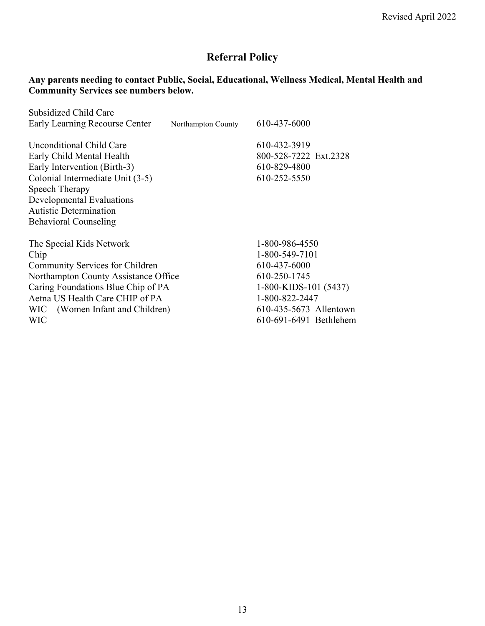# **Referral Policy**

#### **Any parents needing to contact Public, Social, Educational, Wellness Medical, Mental Health and Community Services see numbers below.**

| Subsidized Child Care<br>Early Learning Recourse Center                                                                                                                                                                                   | Northampton County | 610-437-6000                                                                                                                                                    |
|-------------------------------------------------------------------------------------------------------------------------------------------------------------------------------------------------------------------------------------------|--------------------|-----------------------------------------------------------------------------------------------------------------------------------------------------------------|
| Unconditional Child Care<br>Early Child Mental Health<br>Early Intervention (Birth-3)<br>Colonial Intermediate Unit (3-5)<br>Speech Therapy<br>Developmental Evaluations<br><b>Autistic Determination</b><br><b>Behavioral Counseling</b> |                    | 610-432-3919<br>800-528-7222 Ext.2328<br>610-829-4800<br>610-252-5550                                                                                           |
| The Special Kids Network<br>Chip<br>Community Services for Children<br>Northampton County Assistance Office<br>Caring Foundations Blue Chip of PA<br>Aetna US Health Care CHIP of PA<br>WIC (Women Infant and Children)<br>WIC            |                    | 1-800-986-4550<br>1-800-549-7101<br>610-437-6000<br>610-250-1745<br>1-800-KIDS-101 (5437)<br>1-800-822-2447<br>610-435-5673 Allentown<br>610-691-6491 Bethlehem |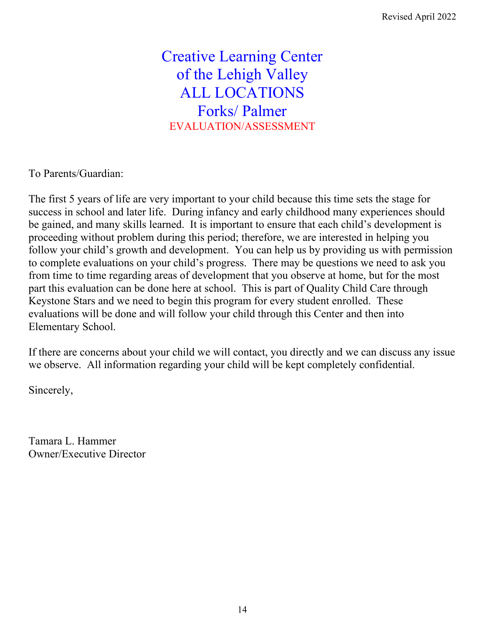Creative Learning Center of the Lehigh Valley ALL LOCATIONS Forks/ Palmer EVALUATION/ASSESSMENT

To Parents/Guardian:

The first 5 years of life are very important to your child because this time sets the stage for success in school and later life. During infancy and early childhood many experiences should be gained, and many skills learned. It is important to ensure that each child's development is proceeding without problem during this period; therefore, we are interested in helping you follow your child's growth and development. You can help us by providing us with permission to complete evaluations on your child's progress. There may be questions we need to ask you from time to time regarding areas of development that you observe at home, but for the most part this evaluation can be done here at school. This is part of Quality Child Care through Keystone Stars and we need to begin this program for every student enrolled. These evaluations will be done and will follow your child through this Center and then into Elementary School.

If there are concerns about your child we will contact, you directly and we can discuss any issue we observe. All information regarding your child will be kept completely confidential.

Sincerely,

Tamara L. Hammer Owner/Executive Director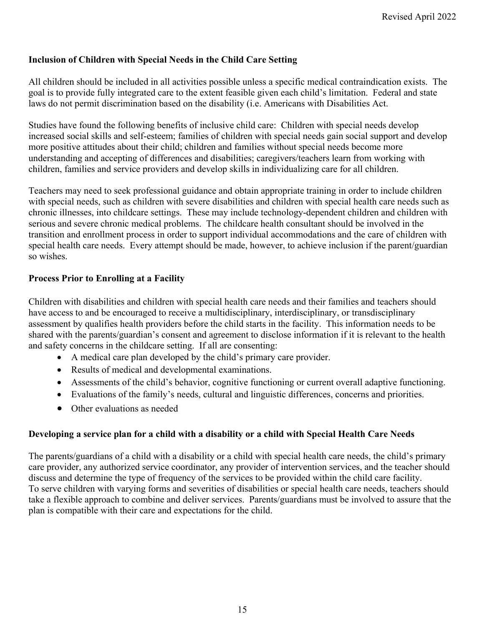#### **Inclusion of Children with Special Needs in the Child Care Setting**

All children should be included in all activities possible unless a specific medical contraindication exists. The goal is to provide fully integrated care to the extent feasible given each child's limitation. Federal and state laws do not permit discrimination based on the disability (i.e. Americans with Disabilities Act.

Studies have found the following benefits of inclusive child care: Children with special needs develop increased social skills and self-esteem; families of children with special needs gain social support and develop more positive attitudes about their child; children and families without special needs become more understanding and accepting of differences and disabilities; caregivers/teachers learn from working with children, families and service providers and develop skills in individualizing care for all children.

Teachers may need to seek professional guidance and obtain appropriate training in order to include children with special needs, such as children with severe disabilities and children with special health care needs such as chronic illnesses, into childcare settings. These may include technology-dependent children and children with serious and severe chronic medical problems. The childcare health consultant should be involved in the transition and enrollment process in order to support individual accommodations and the care of children with special health care needs. Every attempt should be made, however, to achieve inclusion if the parent/guardian so wishes.

#### **Process Prior to Enrolling at a Facility**

Children with disabilities and children with special health care needs and their families and teachers should have access to and be encouraged to receive a multidisciplinary, interdisciplinary, or transdisciplinary assessment by qualifies health providers before the child starts in the facility. This information needs to be shared with the parents/guardian's consent and agreement to disclose information if it is relevant to the health and safety concerns in the childcare setting. If all are consenting:

- A medical care plan developed by the child's primary care provider.
- Results of medical and developmental examinations.
- Assessments of the child's behavior, cognitive functioning or current overall adaptive functioning.
- Evaluations of the family's needs, cultural and linguistic differences, concerns and priorities.
- Other evaluations as needed

#### **Developing a service plan for a child with a disability or a child with Special Health Care Needs**

The parents/guardians of a child with a disability or a child with special health care needs, the child's primary care provider, any authorized service coordinator, any provider of intervention services, and the teacher should discuss and determine the type of frequency of the services to be provided within the child care facility. To serve children with varying forms and severities of disabilities or special health care needs, teachers should take a flexible approach to combine and deliver services. Parents/guardians must be involved to assure that the plan is compatible with their care and expectations for the child.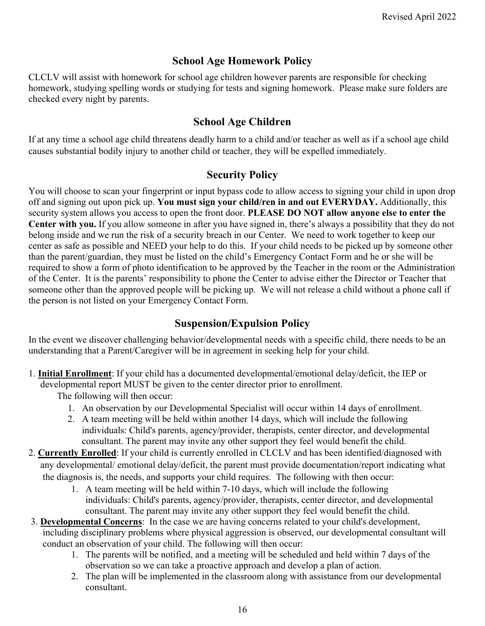# **School Age Homework Policy**

CLCLV will assist with homework for school age children however parents are responsible for checking homework, studying spelling words or studying for tests and signing homework. Please make sure folders are checked every night by parents.

### **School Age Children**

If at any time a school age child threatens deadly harm to a child and/or teacher as well as if a school age child causes substantial bodily injury to another child or teacher, they will be expelled immediately.

#### **Security Policy**

You will choose to scan your fingerprint or input bypass code to allow access to signing your child in upon drop off and signing out upon pick up. **You must sign your child/ren in and out EVERYDAY.** Additionally, this security system allows you access to open the front door. **PLEASE DO NOT allow anyone else to enter the Center with you.** If you allow someone in after you have signed in, there's always a possibility that they do not belong inside and we run the risk of a security breach in our Center. We need to work together to keep our center as safe as possible and NEED your help to do this. If your child needs to be picked up by someone other than the parent/guardian, they must be listed on the child's Emergency Contact Form and he or she will be required to show a form of photo identification to be approved by the Teacher in the room or the Administration of the Center. It is the parents' responsibility to phone the Center to advise either the Director or Teacher that someone other than the approved people will be picking up. We will not release a child without a phone call if the person is not listed on your Emergency Contact Form.

#### **Suspension/Expulsion Policy**

In the event we discover challenging behavior/developmental needs with a specific child, there needs to be an understanding that a Parent/Caregiver will be in agreement in seeking help for your child.

1. **Initial Enrollment**: If your child has a documented developmental/emotional delay/deficit, the IEP or developmental report MUST be given to the center director prior to enrollment.

The following will then occur:

- 1. An observation by our Developmental Specialist will occur within 14 days of enrollment.
- 2. A team meeting will be held within another 14 days, which will include the following individuals: Child's parents, agency/provider, therapists, center director, and developmental consultant. The parent may invite any other support they feel would benefit the child.
- 2. **Currently Enrolled**: If your child is currently enrolled in CLCLV and has been identified/diagnosed with any developmental/ emotional delay/deficit, the parent must provide documentation/report indicating what the diagnosis is, the needs, and supports your child requires. The following with then occur:
	- 1. A team meeting will be held within 7-10 days, which will include the following individuals: Child's parents, agency/provider, therapists, center director, and developmental consultant. The parent may invite any other support they feel would benefit the child.
- 3. **Developmental Concerns**: In the case we are having concerns related to your child's development, including disciplinary problems where physical aggression is observed, our developmental consultant will conduct an observation of your child. The following will then occur:
	- 1. The parents will be notified, and a meeting will be scheduled and held within 7 days of the observation so we can take a proactive approach and develop a plan of action.
	- 2. The plan will be implemented in the classroom along with assistance from our developmental consultant.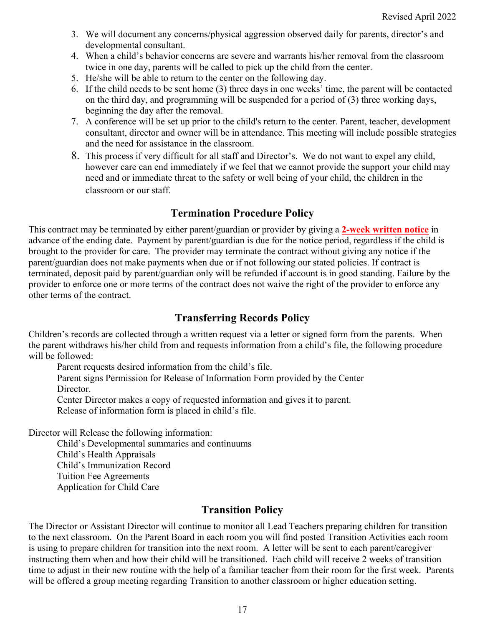- 3. We will document any concerns/physical aggression observed daily for parents, director's and developmental consultant.
- 4. When a child's behavior concerns are severe and warrants his/her removal from the classroom twice in one day, parents will be called to pick up the child from the center.
- 5. He/she will be able to return to the center on the following day.
- 6. If the child needs to be sent home (3) three days in one weeks' time, the parent will be contacted on the third day, and programming will be suspended for a period of (3) three working days, beginning the day after the removal.
- 7. A conference will be set up prior to the child's return to the center. Parent, teacher, development consultant, director and owner will be in attendance. This meeting will include possible strategies and the need for assistance in the classroom.
- 8. This process if very difficult for all staff and Director's. We do not want to expel any child, however care can end immediately if we feel that we cannot provide the support your child may need and or immediate threat to the safety or well being of your child, the children in the classroom or our staff.

# **Termination Procedure Policy**

This contract may be terminated by either parent/guardian or provider by giving a **2-week written notice** in advance of the ending date. Payment by parent/guardian is due for the notice period, regardless if the child is brought to the provider for care. The provider may terminate the contract without giving any notice if the parent/guardian does not make payments when due or if not following our stated policies. If contract is terminated, deposit paid by parent/guardian only will be refunded if account is in good standing. Failure by the provider to enforce one or more terms of the contract does not waive the right of the provider to enforce any other terms of the contract.

# **Transferring Records Policy**

Children's records are collected through a written request via a letter or signed form from the parents. When the parent withdraws his/her child from and requests information from a child's file, the following procedure will be followed:

Parent requests desired information from the child's file.

Parent signs Permission for Release of Information Form provided by the Center Director.

Center Director makes a copy of requested information and gives it to parent.

Release of information form is placed in child's file.

Director will Release the following information:

 Child's Developmental summaries and continuums Child's Health Appraisals Child's Immunization Record Tuition Fee Agreements Application for Child Care

# **Transition Policy**

The Director or Assistant Director will continue to monitor all Lead Teachers preparing children for transition to the next classroom. On the Parent Board in each room you will find posted Transition Activities each room is using to prepare children for transition into the next room. A letter will be sent to each parent/caregiver instructing them when and how their child will be transitioned. Each child will receive 2 weeks of transition time to adjust in their new routine with the help of a familiar teacher from their room for the first week. Parents will be offered a group meeting regarding Transition to another classroom or higher education setting.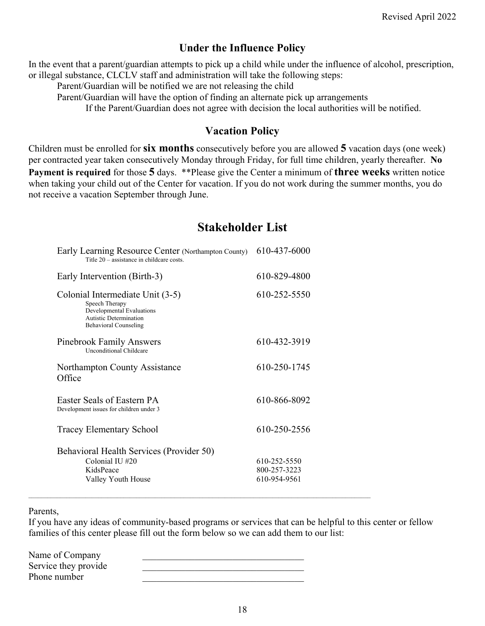### **Under the Influence Policy**

In the event that a parent/guardian attempts to pick up a child while under the influence of alcohol, prescription, or illegal substance, CLCLV staff and administration will take the following steps:

Parent/Guardian will be notified we are not releasing the child

Parent/Guardian will have the option of finding an alternate pick up arrangements

If the Parent/Guardian does not agree with decision the local authorities will be notified.

#### **Vacation Policy**

Children must be enrolled for **six months** consecutively before you are allowed **5** vacation days (one week) per contracted year taken consecutively Monday through Friday, for full time children, yearly thereafter. **No Payment is required** for those **5** days. \*\*Please give the Center a minimum of **three weeks** written notice when taking your child out of the Center for vacation. If you do not work during the summer months, you do not receive a vacation September through June.

# **Stakeholder List**

| Early Learning Resource Center (Northampton County)<br>Title $20$ – assistance in childcare costs.                                        | 610-437-6000                                 |
|-------------------------------------------------------------------------------------------------------------------------------------------|----------------------------------------------|
| Early Intervention (Birth-3)                                                                                                              | 610-829-4800                                 |
| Colonial Intermediate Unit (3-5)<br>Speech Therapy<br>Developmental Evaluations<br>Autistic Determination<br><b>Behavioral Counseling</b> | 610-252-5550                                 |
| <b>Pinebrook Family Answers</b><br><b>Unconditional Childcare</b>                                                                         | 610-432-3919                                 |
| Northampton County Assistance<br>Office                                                                                                   | 610-250-1745                                 |
| Easter Seals of Eastern PA<br>Development issues for children under 3                                                                     | 610-866-8092                                 |
| <b>Tracey Elementary School</b>                                                                                                           | 610-250-2556                                 |
| Behavioral Health Services (Provider 50)<br>Colonial IU #20<br>KidsPeace<br>Valley Youth House                                            | 610-252-5550<br>800-257-3223<br>610-954-9561 |

 $\_$  , and the state of the state of the state of the state of the state of the state of the state of the state of the state of the state of the state of the state of the state of the state of the state of the state of the

Parents,

If you have any ideas of community-based programs or services that can be helpful to this center or fellow families of this center please fill out the form below so we can add them to our list:

| Name of Company      |  |
|----------------------|--|
| Service they provide |  |
| Phone number         |  |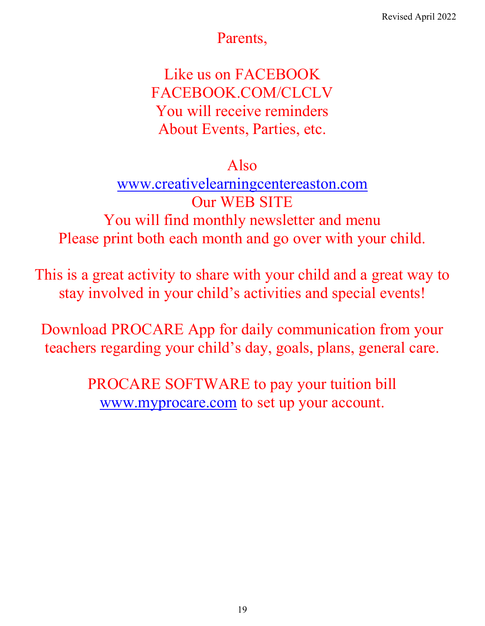# Parents,

Like us on FACEBOOK FACEBOOK.COM/CLCLV You will receive reminders About Events, Parties, etc.

# Also

[www.creativelearningcentereaston.com](http://www.creativelearningcentereaston.com/) Our WEB SITE You will find monthly newsletter and menu Please print both each month and go over with your child.

This is a great activity to share with your child and a great way to stay involved in your child's activities and special events!

Download PROCARE App for daily communication from your teachers regarding your child's day, goals, plans, general care.

> PROCARE SOFTWARE to pay your tuition bill [www.myprocare.com](http://www.myprocare.com/) to set up your account.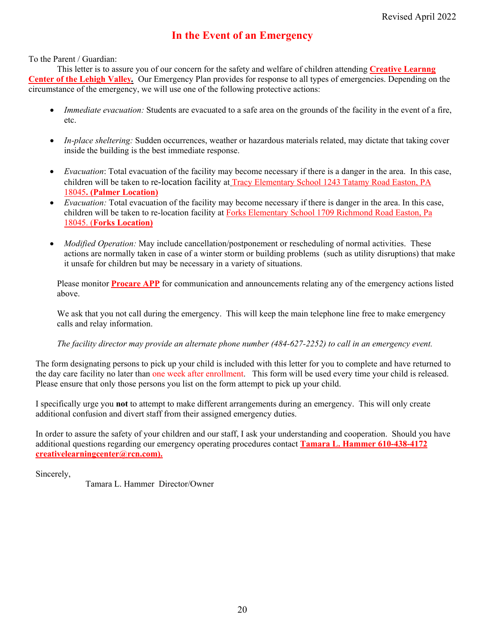#### **In the Event of an Emergency**

#### To the Parent / Guardian:

This letter is to assure you of our concern for the safety and welfare of children attending **Creative Learnng Center of the Lehigh Valley***.* Our Emergency Plan provides for response to all types of emergencies. Depending on the circumstance of the emergency, we will use one of the following protective actions:

- *Immediate evacuation:* Students are evacuated to a safe area on the grounds of the facility in the event of a fire, etc.
- *In-place sheltering:* Sudden occurrences, weather or hazardous materials related, may dictate that taking cover inside the building is the best immediate response.
- *Evacuation*: Total evacuation of the facility may become necessary if there is a danger in the area. In this case, children will be taken to re-location facility at Tracy Elementary School 1243 Tatamy Road Easton, PA 18045**. (Palmer Location)**
- *Evacuation:* Total evacuation of the facility may become necessary if there is danger in the area. In this case, children will be taken to re-location facility at Forks Elementary School 1709 Richmond Road Easton, Pa 18045. (**Forks Location)**
- *Modified Operation:* May include cancellation/postponement or rescheduling of normal activities. These actions are normally taken in case of a winter storm or building problems (such as utility disruptions) that make it unsafe for children but may be necessary in a variety of situations.

Please monitor **Procare APP** for communication and announcements relating any of the emergency actions listed above.

We ask that you not call during the emergency. This will keep the main telephone line free to make emergency calls and relay information.

#### *The facility director may provide an alternate phone number (484-627-2252) to call in an emergency event.*

The form designating persons to pick up your child is included with this letter for you to complete and have returned to the day care facility no later than one week after enrollment. This form will be used every time your child is released. Please ensure that only those persons you list on the form attempt to pick up your child.

I specifically urge you **not** to attempt to make different arrangements during an emergency. This will only create additional confusion and divert staff from their assigned emergency duties.

In order to assure the safety of your children and our staff, I ask your understanding and cooperation. Should you have additional questions regarding our emergency operating procedures contact **Tamara L. Hammer 610-438-4172 creativelearningcenter@rcn.com).** 

Sincerely,

Tamara L. Hammer Director/Owner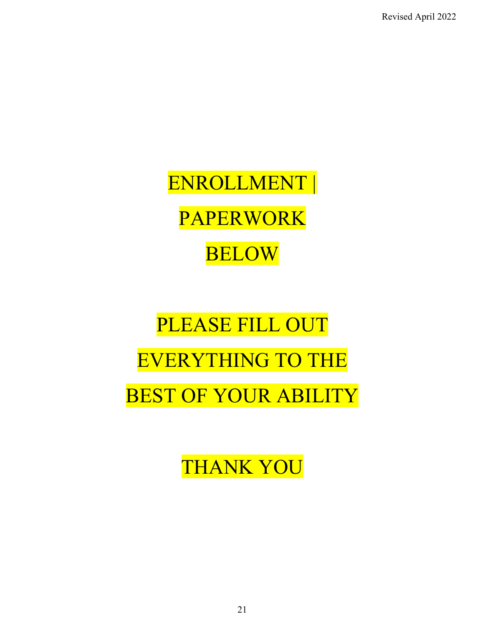Revised April 2022

ENROLLMENT | PAPERWORK BELOW

PLEASE FILL OUT EVERYTHING TO THE BEST OF YOUR ABILITY

THANK YOU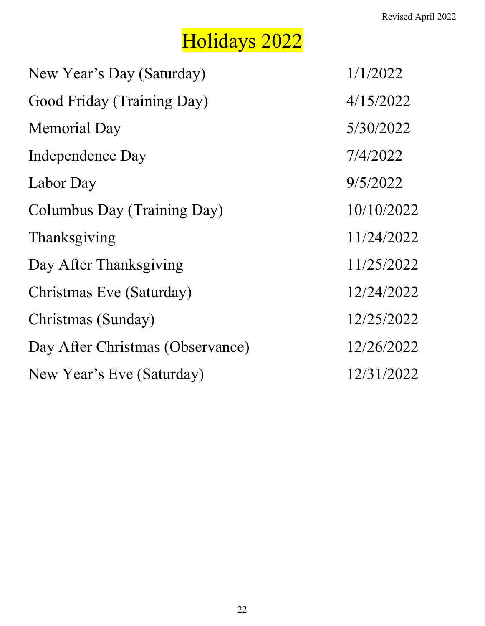# Holidays 2022

| New Year's Day (Saturday)        | 1/1/2022   |
|----------------------------------|------------|
| Good Friday (Training Day)       | 4/15/2022  |
| <b>Memorial Day</b>              | 5/30/2022  |
| Independence Day                 | 7/4/2022   |
| Labor Day                        | 9/5/2022   |
| Columbus Day (Training Day)      | 10/10/2022 |
| Thanksgiving                     | 11/24/2022 |
| Day After Thanksgiving           | 11/25/2022 |
| Christmas Eve (Saturday)         | 12/24/2022 |
| Christmas (Sunday)               | 12/25/2022 |
| Day After Christmas (Observance) | 12/26/2022 |
| New Year's Eve (Saturday)        | 12/31/2022 |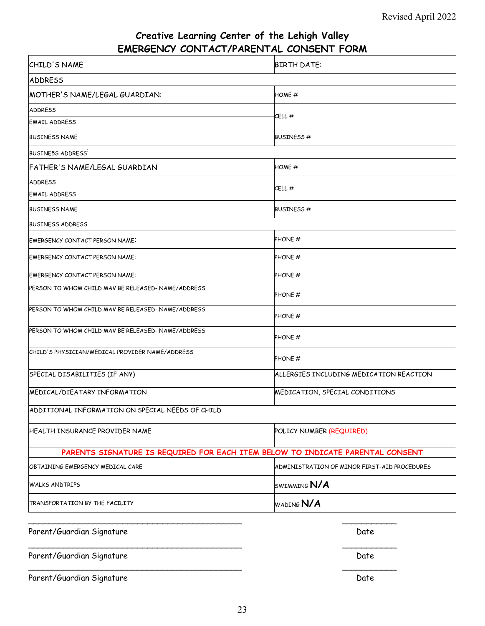# **Creative Learning Center of the Lehigh Valley EMERGENCY CONTACT/PARENTAL CONSENT FORM**

| CHILD'S NAME                                                                   | <b>BIRTH DATE:</b>                           |  |  |
|--------------------------------------------------------------------------------|----------------------------------------------|--|--|
| <b>ADDRESS</b>                                                                 |                                              |  |  |
| MOTHER'S NAME/LEGAL GUARDIAN:                                                  | HOME #                                       |  |  |
| <b>ADDRESS</b>                                                                 | CELL#                                        |  |  |
| <b>EMAIL ADDRESS</b>                                                           |                                              |  |  |
| <b>BUSINESS NAME</b>                                                           | BUSINESS#                                    |  |  |
| <b>BUSINE5S ADDRESS</b>                                                        |                                              |  |  |
| FATHER'S NAME/LEGAL GUARDIAN                                                   | $HOME \#$                                    |  |  |
| <b>ADDRESS</b>                                                                 | CELL #                                       |  |  |
| <b>EMAIL ADDRESS</b>                                                           |                                              |  |  |
| <b>BUSINESS NAME</b>                                                           | BUSINESS#                                    |  |  |
| <b>BUSINESS ADDRESS</b>                                                        |                                              |  |  |
| EMERGENCY CONTACT PERSON NAME:                                                 | PHONE #                                      |  |  |
| EMERGENCY CONTACT PERSON NAME:                                                 | PHONE #                                      |  |  |
| EMERGENCY CONTACT PERSON NAME:                                                 | PHONE <sup>#</sup>                           |  |  |
| PERSON TO WHOM CHILD MAV BE RELEASED-NAME/ADDRESS                              | PHONE <sup>#</sup>                           |  |  |
| PERSON TO WHOM CHILD MAV BE RELEASED-NAME/ADDRESS                              | PHONE #                                      |  |  |
| PERSON TO WHOM CHILD MAV BE RELEASED-NAME/ADDRESS                              | PHONE #                                      |  |  |
| CHILD'S PHYSICIAN/MEDICAL PROVIDER NAME/ADDRESS                                | PHONE #                                      |  |  |
| SPECIAL DISABILITIES (IF ANY)                                                  | ALLERGIES INCLUDING MEDICATION REACTION      |  |  |
| MEDICAL/DIEATARY INFORMATION                                                   | MEDICATION, SPECIAL CONDITIONS               |  |  |
| ADDITIONAL INFORMATION ON SPECIAL NEEDS OF CHILD                               |                                              |  |  |
| HEALTH INSURANCE PROVIDER NAME                                                 | POLICY NUMBER (REQUIRED)                     |  |  |
| PARENTS SIGNATURE IS REQUIRED FOR EACH ITEM BELOW TO INDICATE PARENTAL CONSENT |                                              |  |  |
| OBTAINING EMERGENCY MEDICAL CARE                                               | ADMINISTRATION OF MINOR FIRST-AID PROCEDURES |  |  |
| <b>WALKS ANDTRIPS</b>                                                          | SWIMMING N/A                                 |  |  |
| TRANSPORTATION BY THE FACILITY                                                 | WADING N/A                                   |  |  |
|                                                                                |                                              |  |  |

| Parent/Guardian Signature | Date |
|---------------------------|------|
| Parent/Guardian Signature | Date |
| Parent/Guardian Signature | Date |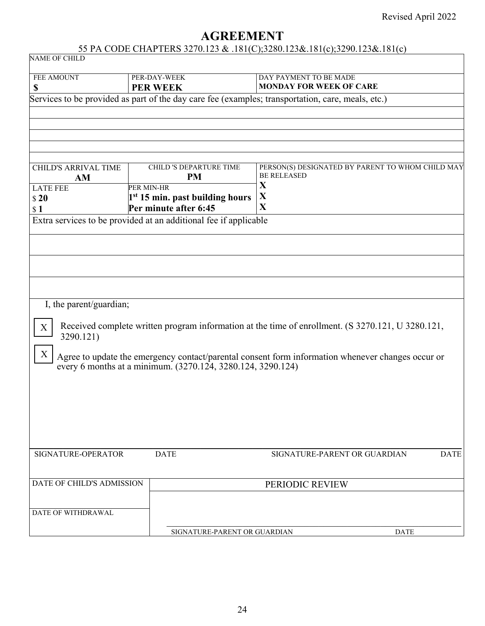# **AGREEMENT**

### 55 PA CODE CHAPTERS 3270.123 & .181(C);3280.123&.181(c);3290.123&.181(c)

| NAME OF CHILD                                        |                                                                      | $55.111$ CODE CHEN TERS $5210.125$ & $.101$ (C), 5200.125&.101(C), 5250.125&.101(C)               |
|------------------------------------------------------|----------------------------------------------------------------------|---------------------------------------------------------------------------------------------------|
| FEE AMOUNT<br>\$                                     | PER-DAY-WEEK<br><b>PER WEEK</b>                                      | DAY PAYMENT TO BE MADE<br>MONDAY FOR WEEK OF CARE                                                 |
|                                                      |                                                                      | Services to be provided as part of the day care fee (examples; transportation, care, meals, etc.) |
|                                                      |                                                                      |                                                                                                   |
| <b>CHILD'S ARRIVAL TIME</b><br>AM<br><b>LATE FEE</b> | CHILD 'S DEPARTURE TIME<br><b>PM</b><br>PER MIN-HR                   | PERSON(S) DESIGNATED BY PARENT TO WHOM CHILD MAY<br><b>BE RELEASED</b><br>X                       |
| \$20<br>\$1                                          | 1 <sup>st</sup> 15 min. past building hours<br>Per minute after 6:45 | X<br>$\mathbf X$                                                                                  |
|                                                      | Extra services to be provided at an additional fee if applicable     |                                                                                                   |
|                                                      |                                                                      |                                                                                                   |
|                                                      |                                                                      |                                                                                                   |
|                                                      |                                                                      |                                                                                                   |
|                                                      |                                                                      |                                                                                                   |
| I, the parent/guardian;                              |                                                                      |                                                                                                   |
| X<br>3290.121)                                       |                                                                      | Received complete written program information at the time of enrollment. (S 3270.121, U 3280.121, |
| X                                                    | every 6 months at a minimum. (3270.124, 3280.124, 3290.124)          | Agree to update the emergency contact/parental consent form information whenever changes occur or |
|                                                      |                                                                      |                                                                                                   |
|                                                      |                                                                      |                                                                                                   |
|                                                      |                                                                      |                                                                                                   |
|                                                      |                                                                      |                                                                                                   |
| SIGNATURE-OPERATOR                                   | <b>DATE</b>                                                          | SIGNATURE-PARENT OR GUARDIAN<br><b>DATE</b>                                                       |
|                                                      |                                                                      |                                                                                                   |
| DATE OF CHILD'S ADMISSION                            |                                                                      | PERIODIC REVIEW                                                                                   |
|                                                      |                                                                      |                                                                                                   |
| DATE OF WITHDRAWAL                                   |                                                                      |                                                                                                   |
|                                                      | SIGNATURE-PARENT OR GUARDIAN                                         | <b>DATE</b>                                                                                       |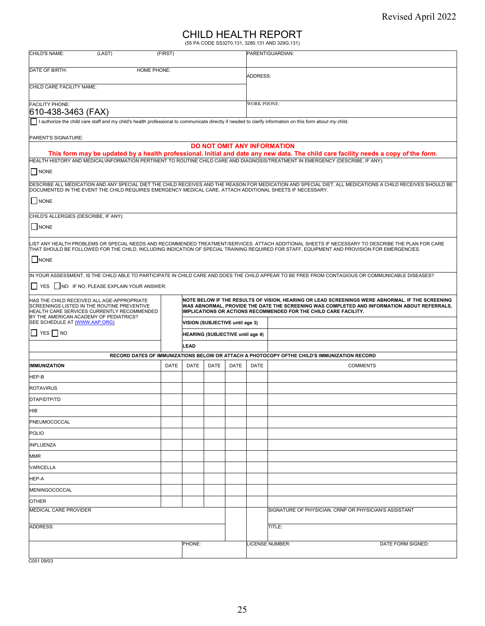# CHILD HEALTH REPORT (55 PA CODE SS3270.131, 3280.131 AND 329G.131)

| CHILD'S NAME:<br>(LAST)                                                                                                                                                           | (FIRST)                                                                                                                                                                                                                                                                   |        |                                  |                                                       |                    | PARENT/GUARDIAN:                                                                                                                                                                                                                                                                                  |  |  |
|-----------------------------------------------------------------------------------------------------------------------------------------------------------------------------------|---------------------------------------------------------------------------------------------------------------------------------------------------------------------------------------------------------------------------------------------------------------------------|--------|----------------------------------|-------------------------------------------------------|--------------------|---------------------------------------------------------------------------------------------------------------------------------------------------------------------------------------------------------------------------------------------------------------------------------------------------|--|--|
| DATE OF BIRTH:<br>HOME PHONE:                                                                                                                                                     |                                                                                                                                                                                                                                                                           |        |                                  |                                                       |                    |                                                                                                                                                                                                                                                                                                   |  |  |
| CHILD CARE FACILITY NAME:                                                                                                                                                         |                                                                                                                                                                                                                                                                           |        |                                  | ADDRESS:                                              |                    |                                                                                                                                                                                                                                                                                                   |  |  |
| <b>FACILITY PHONE:</b><br>610-438-3463 (FAX)                                                                                                                                      |                                                                                                                                                                                                                                                                           |        |                                  |                                                       | <b>WORK PHONE:</b> |                                                                                                                                                                                                                                                                                                   |  |  |
| I authorize the child care staff and my child's health professional to communicate directly if needed to clarify information on this form about my child.                         |                                                                                                                                                                                                                                                                           |        |                                  |                                                       |                    |                                                                                                                                                                                                                                                                                                   |  |  |
| PARENT'S SIGNATURE:                                                                                                                                                               |                                                                                                                                                                                                                                                                           |        |                                  |                                                       |                    |                                                                                                                                                                                                                                                                                                   |  |  |
|                                                                                                                                                                                   |                                                                                                                                                                                                                                                                           |        |                                  |                                                       |                    | <b>DO NOT OMIT ANY INFORMATION</b>                                                                                                                                                                                                                                                                |  |  |
| HEALTH HISTORY AND MEDICAL\INFORMATION PERTINENT TO ROUTINE CHILD CARE AND DIAGNOSIS/TREATMENT IN EMERGENCY (DESCRIBE, IF ANY):                                                   |                                                                                                                                                                                                                                                                           |        |                                  |                                                       |                    | This form may be updated by a health professional. Initial and date any new data. The child care facility needs a copy of the form.                                                                                                                                                               |  |  |
| NONE                                                                                                                                                                              |                                                                                                                                                                                                                                                                           |        |                                  |                                                       |                    |                                                                                                                                                                                                                                                                                                   |  |  |
| DOCUMENTED IN THE EVENT THE CHILD REQUIRES EMERGENCY MEDICAL CARE. ATTACH ADDITIONAL SHEETS IF NECESSARY.                                                                         |                                                                                                                                                                                                                                                                           |        |                                  |                                                       |                    | DESCRIBE ALL MEDICATION AND ANY SPECIAL DIET THE CHILD RECEIVES AND THE REASON FOR MEDICATION AND SPECIAL DIET. ALL MEDICATIONS A CHILD RECEIVES SHOULD BE                                                                                                                                        |  |  |
| NONE                                                                                                                                                                              |                                                                                                                                                                                                                                                                           |        |                                  |                                                       |                    |                                                                                                                                                                                                                                                                                                   |  |  |
| CHILD'S ALLERGIES (DESCRIBE, IF ANY):                                                                                                                                             |                                                                                                                                                                                                                                                                           |        |                                  |                                                       |                    |                                                                                                                                                                                                                                                                                                   |  |  |
| $\Box$ NONE                                                                                                                                                                       |                                                                                                                                                                                                                                                                           |        |                                  |                                                       |                    |                                                                                                                                                                                                                                                                                                   |  |  |
|                                                                                                                                                                                   |                                                                                                                                                                                                                                                                           |        |                                  |                                                       |                    | LIST ANY HEALTH PROBLEMS OR SPECIAL NEEDS AND RECOMMENDED TREATMENT/SERVICES. ATTACH ADDITIONAL SHEETS IF NECESSARY TO DESCRIBE THE PLAN FOR CARE<br>THAT SHOULD BE FOLLOWED FOR THE CHILD, INCLUDING INDICATION OF SPECIAL TRAINING REQUIRED FOR STAFF, EQUIPMENT AND PROVISION FOR EMERGENCIES. |  |  |
| <b>NONE</b>                                                                                                                                                                       |                                                                                                                                                                                                                                                                           |        |                                  |                                                       |                    |                                                                                                                                                                                                                                                                                                   |  |  |
|                                                                                                                                                                                   |                                                                                                                                                                                                                                                                           |        |                                  |                                                       |                    | IN YOUR ASSESSMENT, IS THE CHILD ABLE TO PARTICIPATE IN CHILD CARE AND DOES THE CHILD APPEAR TO BE FREE FROM CONTAGIOUS OR COMMUNICABLE DISEASES?                                                                                                                                                 |  |  |
| YES   NO IF NO, PLEASE EXPLAIN YOUR ANSWER:                                                                                                                                       |                                                                                                                                                                                                                                                                           |        |                                  |                                                       |                    |                                                                                                                                                                                                                                                                                                   |  |  |
| HAS THE CHILD RECEIVED ALL AGE-APPROPRIATE<br>SCREENINGS LISTED IN THE ROUTINE PREVENTIVE<br>HEALTH CARE SERVICES CURRENTLY RECOMMENDED<br>BY THE AMERICAN ACADEMY OF PEDIATRICS? | NOTE BELOW IF THE RESULTS OF VISION, HEARING OR LEAD SCREENINGS WERE ABNORMAL. IF THE SCREENING<br>WAS ABNORMAL, PROVIDE THE DATE THE SCREENING WAS COMPLETED AND INFORMATION ABOUT REFERRALS,<br><b>IMPLICATIONS OR ACTIONS RECOMMENDED FOR THE CHILD CARE FACILITY.</b> |        |                                  |                                                       |                    |                                                                                                                                                                                                                                                                                                   |  |  |
| SEE SCHEDULE AT (WWW.AAP.ORG)                                                                                                                                                     |                                                                                                                                                                                                                                                                           |        | VISION (SUBJECTIVE until age 3)  |                                                       |                    |                                                                                                                                                                                                                                                                                                   |  |  |
| YES NO                                                                                                                                                                            |                                                                                                                                                                                                                                                                           |        | HEARING (SUBJECTIVE until age 4) |                                                       |                    |                                                                                                                                                                                                                                                                                                   |  |  |
|                                                                                                                                                                                   |                                                                                                                                                                                                                                                                           | LEAD   |                                  |                                                       |                    |                                                                                                                                                                                                                                                                                                   |  |  |
|                                                                                                                                                                                   |                                                                                                                                                                                                                                                                           |        |                                  |                                                       |                    | RECORD DATES OF IMMUNIZATIONS BELOW OR ATTACH A PHOTOCOPY OFTHE CHILD'S IMMUNIZATION RECORD                                                                                                                                                                                                       |  |  |
| <b>IMMUNIZATION</b>                                                                                                                                                               | DATE                                                                                                                                                                                                                                                                      | DATE   | <b>DATE</b>                      | <b>DATE</b>                                           | DATE               | <b>COMMENTS</b>                                                                                                                                                                                                                                                                                   |  |  |
| HEP-B                                                                                                                                                                             |                                                                                                                                                                                                                                                                           |        |                                  |                                                       |                    |                                                                                                                                                                                                                                                                                                   |  |  |
| <b>ROTAVIRUS</b>                                                                                                                                                                  |                                                                                                                                                                                                                                                                           |        |                                  |                                                       |                    |                                                                                                                                                                                                                                                                                                   |  |  |
| DTAP/DTP/TD                                                                                                                                                                       |                                                                                                                                                                                                                                                                           |        |                                  |                                                       |                    |                                                                                                                                                                                                                                                                                                   |  |  |
| HIB                                                                                                                                                                               |                                                                                                                                                                                                                                                                           |        |                                  |                                                       |                    |                                                                                                                                                                                                                                                                                                   |  |  |
| PNEUMOCOCCAL                                                                                                                                                                      |                                                                                                                                                                                                                                                                           |        |                                  |                                                       |                    |                                                                                                                                                                                                                                                                                                   |  |  |
| <b>POLIO</b>                                                                                                                                                                      |                                                                                                                                                                                                                                                                           |        |                                  |                                                       |                    |                                                                                                                                                                                                                                                                                                   |  |  |
| <b>INFLUENZA</b>                                                                                                                                                                  |                                                                                                                                                                                                                                                                           |        |                                  |                                                       |                    |                                                                                                                                                                                                                                                                                                   |  |  |
| <b>MMR</b>                                                                                                                                                                        |                                                                                                                                                                                                                                                                           |        |                                  |                                                       |                    |                                                                                                                                                                                                                                                                                                   |  |  |
| <b>VARICELLA</b>                                                                                                                                                                  |                                                                                                                                                                                                                                                                           |        |                                  |                                                       |                    |                                                                                                                                                                                                                                                                                                   |  |  |
| HEP-A                                                                                                                                                                             |                                                                                                                                                                                                                                                                           |        |                                  |                                                       |                    |                                                                                                                                                                                                                                                                                                   |  |  |
| MENINGOCOCCAL                                                                                                                                                                     |                                                                                                                                                                                                                                                                           |        |                                  |                                                       |                    |                                                                                                                                                                                                                                                                                                   |  |  |
| <b>OTHER</b>                                                                                                                                                                      |                                                                                                                                                                                                                                                                           |        |                                  |                                                       |                    |                                                                                                                                                                                                                                                                                                   |  |  |
| MEDICAL CARE PROVIDER                                                                                                                                                             |                                                                                                                                                                                                                                                                           |        |                                  | SIGNATURE OF PHYSICIAN, CRNP OR PHYSICIAN'S ASSISTANT |                    |                                                                                                                                                                                                                                                                                                   |  |  |
| <b>ADDRESS:</b>                                                                                                                                                                   |                                                                                                                                                                                                                                                                           |        |                                  |                                                       | TITLE:             |                                                                                                                                                                                                                                                                                                   |  |  |
|                                                                                                                                                                                   |                                                                                                                                                                                                                                                                           | PHONE: |                                  |                                                       |                    | LICENSE NUMBER:<br>DATE FORM SIGNED:                                                                                                                                                                                                                                                              |  |  |
|                                                                                                                                                                                   |                                                                                                                                                                                                                                                                           |        |                                  |                                                       |                    |                                                                                                                                                                                                                                                                                                   |  |  |

C051 09/03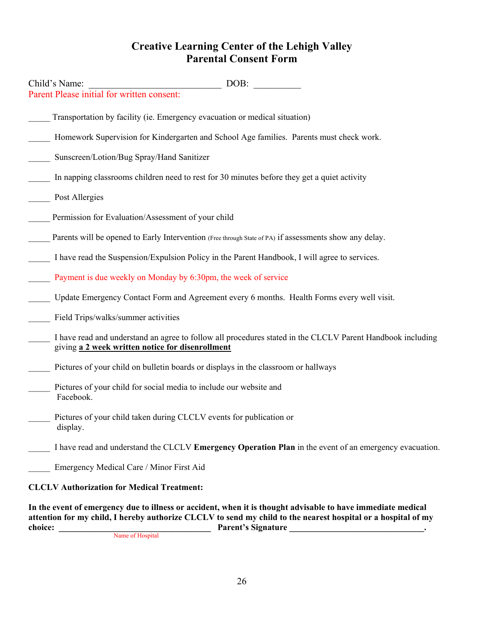## **Creative Learning Center of the Lehigh Valley Parental Consent Form**

| Child's Name:                                                                   | DOB:                                                                                                       |
|---------------------------------------------------------------------------------|------------------------------------------------------------------------------------------------------------|
| Parent Please initial for written consent:                                      |                                                                                                            |
|                                                                                 | Transportation by facility (ie. Emergency evacuation or medical situation)                                 |
|                                                                                 | Homework Supervision for Kindergarten and School Age families. Parents must check work.                    |
| Sunscreen/Lotion/Bug Spray/Hand Sanitizer                                       |                                                                                                            |
|                                                                                 | In napping classrooms children need to rest for 30 minutes before they get a quiet activity                |
| Post Allergies                                                                  |                                                                                                            |
| Permission for Evaluation/Assessment of your child                              |                                                                                                            |
|                                                                                 | Parents will be opened to Early Intervention (Free through State of PA) if assessments show any delay.     |
|                                                                                 | I have read the Suspension/Expulsion Policy in the Parent Handbook, I will agree to services.              |
| Payment is due weekly on Monday by 6:30pm, the week of service                  |                                                                                                            |
|                                                                                 | Update Emergency Contact Form and Agreement every 6 months. Health Forms every well visit.                 |
| Field Trips/walks/summer activities                                             |                                                                                                            |
| giving a 2 week written notice for disenrollment                                | I have read and understand an agree to follow all procedures stated in the CLCLV Parent Handbook including |
|                                                                                 | Pictures of your child on bulletin boards or displays in the classroom or hallways                         |
| Pictures of your child for social media to include our website and<br>Facebook. |                                                                                                            |
| Pictures of your child taken during CLCLV events for publication or<br>display. |                                                                                                            |
|                                                                                 | I have read and understand the CLCLV Emergency Operation Plan in the event of an emergency evacuation.     |
| Emergency Medical Care / Minor First Aid                                        |                                                                                                            |
| <b>CLCLV Authorization for Medical Treatment:</b>                               |                                                                                                            |
|                                                                                 | In the event of emergency due to illness or excident when it is thought educable to have immediate medical |

**In the event of emergency due to illness or accident, when it is thought advisable to have immediate medical**  attention for my child, I hereby authorize CLCLV to send my child to the nearest hospital or a hospital of my<br>
Parent's Signature **choice: \_\_\_\_\_\_\_\_\_\_\_\_\_\_\_\_\_\_\_\_\_\_\_\_\_\_\_\_\_\_\_\_\_\_\_ Parent's Signature \_\_\_\_\_\_\_\_\_\_\_\_\_\_\_\_\_\_\_\_\_\_\_\_\_\_\_\_\_\_\_.** Name of Hospital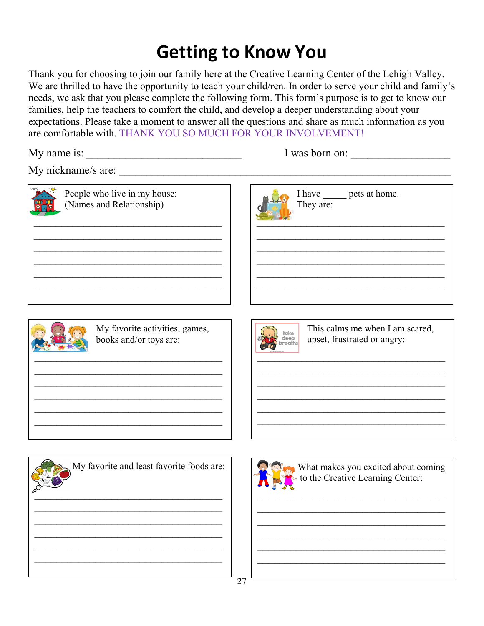# **Getting to Know You**

Thank you for choosing to join our family here at the Creative Learning Center of the Lehigh Valley. We are thrilled to have the opportunity to teach your child/ren. In order to serve your child and family's needs, we ask that you please complete the following form. This form's purpose is to get to know our families, help the teachers to comfort the child, and develop a deeper understanding about your expectations. Please take a moment to answer all the questions and share as much information as you are comfortable with. THANK YOU SO MUCH FOR YOUR INVOLVEMENT!

My name is:  $\frac{1}{\sqrt{2\pi}}$ 

|  | I was born on: |  |
|--|----------------|--|
|  |                |  |

My nickname/s are:

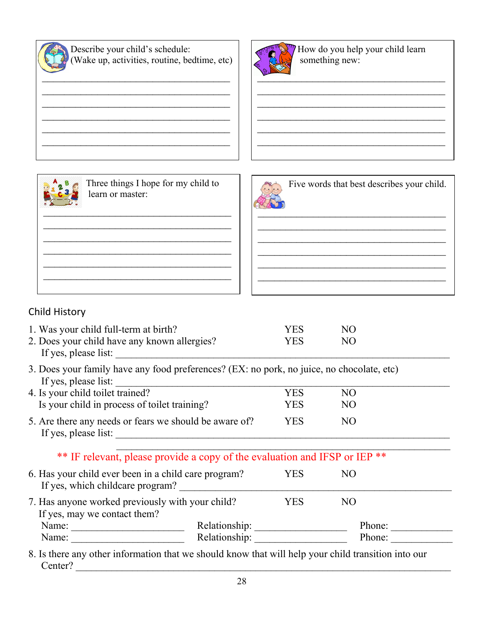

 Describe your child's schedule: (Wake up, activities, routine, bedtime, etc)

 $\mathcal{L}_\text{max}$  , which is a set of the set of the set of the set of the set of the set of the set of the set of the set of the set of the set of the set of the set of the set of the set of the set of the set of the set of  $\mathcal{L}_\text{max}$  , which is a set of the set of the set of the set of the set of the set of the set of the set of the set of the set of the set of the set of the set of the set of the set of the set of the set of the set of  $\mathcal{L}_\text{max}$  , which is a set of the set of the set of the set of the set of the set of the set of the set of the set of the set of the set of the set of the set of the set of the set of the set of the set of the set of  $\mathcal{L}_\text{max}$  , which is a set of the set of the set of the set of the set of the set of the set of the set of the set of the set of the set of the set of the set of the set of the set of the set of the set of the set of  $\mathcal{L}_\text{max}$  , which is a set of the set of the set of the set of the set of the set of the set of the set of the set of the set of the set of the set of the set of the set of the set of the set of the set of the set of



 How do you help your child learn something new:

 $\mathcal{L}_\text{max}$  , which is a set of the set of the set of the set of the set of the set of the set of the set of the set of the set of the set of the set of the set of the set of the set of the set of the set of the set of  $\mathcal{L}_\text{max}$  , which is a set of the set of the set of the set of the set of the set of the set of the set of the set of the set of the set of the set of the set of the set of the set of the set of the set of the set of  $\mathcal{L}_\text{max}$  , which is a set of the set of the set of the set of the set of the set of the set of the set of the set of the set of the set of the set of the set of the set of the set of the set of the set of the set of  $\mathcal{L}_\text{max}$  , which is a set of the set of the set of the set of the set of the set of the set of the set of the set of the set of the set of the set of the set of the set of the set of the set of the set of the set of  $\mathcal{L}_\text{max}$  , which is a set of the set of the set of the set of the set of the set of the set of the set of the set of the set of the set of the set of the set of the set of the set of the set of the set of the set of



 Three things I hope for my child to learn or master:

 $\mathcal{L}_\text{max}$  , which is a set of the set of the set of the set of the set of the set of the set of the set of the set of the set of the set of the set of the set of the set of the set of the set of the set of the set of  $\mathcal{L}_\text{max}$  , which is a set of the set of the set of the set of the set of the set of the set of the set of the set of the set of the set of the set of the set of the set of the set of the set of the set of the set of  $\mathcal{L}_\text{max}$  , which is a set of the set of the set of the set of the set of the set of the set of the set of the set of the set of the set of the set of the set of the set of the set of the set of the set of the set of  $\mathcal{L}_\text{max}$  , which is a set of the set of the set of the set of the set of the set of the set of the set of the set of the set of the set of the set of the set of the set of the set of the set of the set of the set of  $\mathcal{L}_\text{max}$  , which is a set of the set of the set of the set of the set of the set of the set of the set of the set of the set of the set of the set of the set of the set of the set of the set of the set of the set of



## Child History

| 1. Was your child full-term at birth?                                                                                                                 |                                                                                                                      | YES        | NO             |  |
|-------------------------------------------------------------------------------------------------------------------------------------------------------|----------------------------------------------------------------------------------------------------------------------|------------|----------------|--|
| 2. Does your child have any known allergies?<br>If yes, please list:                                                                                  |                                                                                                                      | YES.       | N <sub>O</sub> |  |
| 3. Does your family have any food preferences? (EX: no pork, no juice, no chocolate, etc)<br>If yes, please list:                                     |                                                                                                                      |            |                |  |
| 4. Is your child toilet trained?                                                                                                                      |                                                                                                                      | <b>YES</b> | N <sub>O</sub> |  |
| Is your child in process of toilet training?                                                                                                          |                                                                                                                      | YES        | NO             |  |
| 5. Are there any needs or fears we should be aware of?<br>If yes, please list:                                                                        | <u> 2000 - 2000 - 2000 - 2000 - 2000 - 2000 - 2000 - 2000 - 2000 - 2000 - 2000 - 2000 - 2000 - 2000 - 2000 - 200</u> | <b>YES</b> | N <sub>O</sub> |  |
|                                                                                                                                                       | ** IF relevant, please provide a copy of the evaluation and IFSP or IEP **                                           |            |                |  |
| 6. Has your child ever been in a child care program?<br>If yes, which childcare program?                                                              |                                                                                                                      | <b>YES</b> | N <sub>O</sub> |  |
| 7. Has anyone worked previously with your child?<br>If yes, may we contact them?                                                                      |                                                                                                                      | <b>YES</b> | N <sub>O</sub> |  |
|                                                                                                                                                       |                                                                                                                      |            | Phone:         |  |
| Name: $\frac{1}{\sqrt{1-\frac{1}{2}} \cdot \frac{1}{\sqrt{1-\frac{1}{2}} \cdot \frac{1}{2}} \cdot \frac{1}{\sqrt{1-\frac{1}{2}} \cdot \frac{1}{2}}}}$ | Relationship:                                                                                                        |            | Phone:         |  |
| 8. Is there any other information that we should know that will help your child transition into our                                                   |                                                                                                                      |            |                |  |

1y other information that we should know that will help your child transition into our Center? \_\_\_\_\_\_\_\_\_\_\_\_\_\_\_\_\_\_\_\_\_\_\_\_\_\_\_\_\_\_\_\_\_\_\_\_\_\_\_\_\_\_\_\_\_\_\_\_\_\_\_\_\_\_\_\_\_\_\_\_\_\_\_\_\_\_\_\_\_\_\_\_\_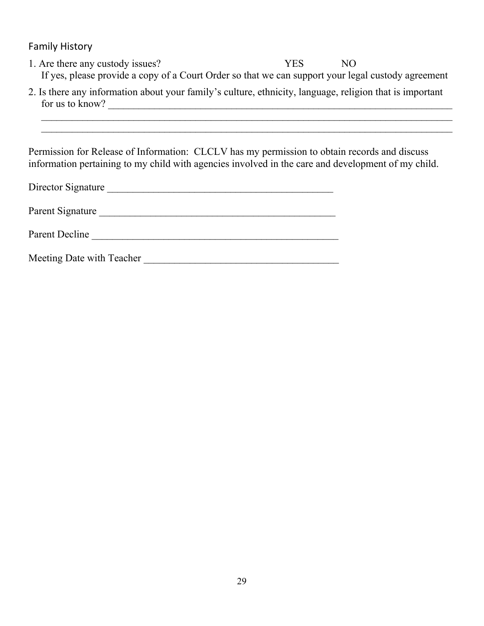Family History

- 1. Are there any custody issues? YES NO If yes, please provide a copy of a Court Order so that we can support your legal custody agreement
- 2. Is there any information about your family's culture, ethnicity, language, religion that is important for us to know?

 $\mathcal{L}_\text{max}$  , and the contribution of the contribution of the contribution of the contribution of the contribution of the contribution of the contribution of the contribution of the contribution of the contribution of t  $\mathcal{L}_\text{max}$  , and the contribution of the contribution of the contribution of the contribution of the contribution of the contribution of the contribution of the contribution of the contribution of the contribution of t

Permission for Release of Information: CLCLV has my permission to obtain records and discuss information pertaining to my child with agencies involved in the care and development of my child.

| Director Signature        |  |
|---------------------------|--|
| Parent Signature          |  |
| Parent Decline            |  |
| Meeting Date with Teacher |  |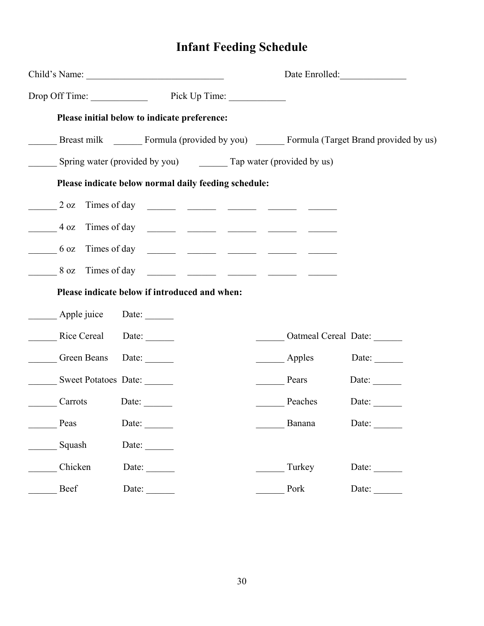# **Infant Feeding Schedule**

|                      |                                                                                               | Date Enrolled:              |              |
|----------------------|-----------------------------------------------------------------------------------------------|-----------------------------|--------------|
|                      | Drop Off Time: Pick Up Time:                                                                  |                             |              |
|                      | Please initial below to indicate preference:                                                  |                             |              |
|                      | Breast milk ________ Formula (provided by you) ________ Formula (Target Brand provided by us) |                             |              |
|                      | Spring water (provided by you) ________ Tap water (provided by us)                            |                             |              |
|                      | Please indicate below normal daily feeding schedule:                                          |                             |              |
| $2 \text{ oz}$       |                                                                                               |                             |              |
|                      | $-4$ oz Times of day $     -$                                                                 |                             |              |
|                      |                                                                                               |                             |              |
|                      |                                                                                               |                             |              |
|                      | Please indicate below if introduced and when:                                                 |                             |              |
| Apple juice Date:    |                                                                                               |                             |              |
| Rice Cereal Date:    |                                                                                               | <b>Catmeal Cereal Date:</b> |              |
| Green Beans          | Date: $\qquad \qquad$                                                                         | Apples                      | Date: $\_\_$ |
| Sweet Potatoes Date: |                                                                                               | Pears                       | Date: $\_\_$ |
| Carrots              | Date:                                                                                         | Peaches                     | Date:        |
| Peas                 | Date:                                                                                         | Banana                      | Date:        |
| Squash               | Date: $\qquad \qquad$                                                                         |                             |              |
| Chicken              | Date: $\qquad \qquad$                                                                         | Turkey                      | Date:        |
| Beef                 | Date:                                                                                         | Pork                        | Date:        |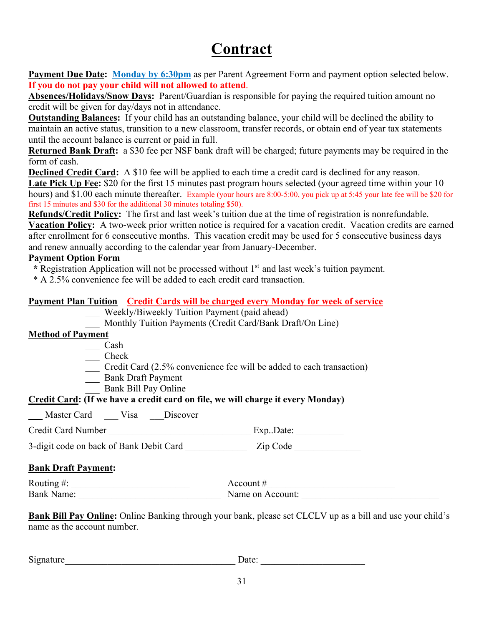# **Contract**

Payment Due Date: Monday by 6:30pm as per Parent Agreement Form and payment option selected below. **If you do not pay your child will not allowed to attend**.

**Absences/Holidays/Snow Days:** Parent/Guardian is responsible for paying the required tuition amount no credit will be given for day/days not in attendance.

**Outstanding Balances:** If your child has an outstanding balance, your child will be declined the ability to maintain an active status, transition to a new classroom, transfer records, or obtain end of year tax statements until the account balance is current or paid in full.

**Returned Bank Draft:** a \$30 fee per NSF bank draft will be charged; future payments may be required in the form of cash.

**Declined Credit Card:** A \$10 fee will be applied to each time a credit card is declined for any reason. Late Pick Up Fee: \$20 for the first 15 minutes past program hours selected (your agreed time within your 10) hours) and \$1.00 each minute thereafter. Example (your hours are 8:00-5:00, you pick up at 5:45 your late fee will be \$20 for first 15 minutes and \$30 for the additional 30 minutes totaling \$50).

**Refunds/Credit Policy:** The first and last week's tuition due at the time of registration is nonrefundable.

**Vacation Policy:** A two-week prior written notice is required for a vacation credit. Vacation credits are earned after enrollment for 6 consecutive months. This vacation credit may be used for 5 consecutive business days and renew annually according to the calendar year from January-December.

#### **Payment Option Form**

\* Registration Application will not be processed without 1<sup>st</sup> and last week's tuition payment.

\* A 2.5% convenience fee will be added to each credit card transaction.

#### **Payment Plan Tuition Credit Cards will be charged every Monday for week of service**

- Weekly/Biweekly Tuition Payment (paid ahead)
- Monthly Tuition Payments (Credit Card/Bank Draft/On Line)

#### **Method of Payment**

- \_\_\_ Cash
- \_\_\_ Check
- \_\_\_ Credit Card (2.5% convenience fee will be added to each transaction)
- \_\_\_ Bank Draft Payment
- Bank Bill Pay Online

#### **Credit Card: (If we have a credit card on file, we will charge it every Monday)**

Master Card Visa Discover

| <b>Credit Card Number</b> | ExpDate: |
|---------------------------|----------|
|                           |          |

3-digit code on back of Bank Debit Card \_\_\_\_\_\_\_\_\_\_\_\_\_\_\_\_\_\_ Zip Code \_\_\_\_\_\_\_\_\_\_\_\_

#### **Bank Draft Payment:**

Routing  $\#\colon \underline{\hspace{2cm}}$ Bank Name: \_\_\_\_\_\_\_\_\_\_\_\_\_\_\_\_\_\_\_\_\_\_\_\_\_\_\_\_\_\_ Name on Account: \_\_\_\_\_\_\_\_\_\_\_\_\_\_\_\_\_\_\_\_\_\_\_\_\_\_\_\_\_

**Bank Bill Pay Online:** Online Banking through your bank, please set CLCLV up as a bill and use your child's name as the account number.

| $\sim$<br>nature<br>519 | Jate<br>uw. |
|-------------------------|-------------|
|                         |             |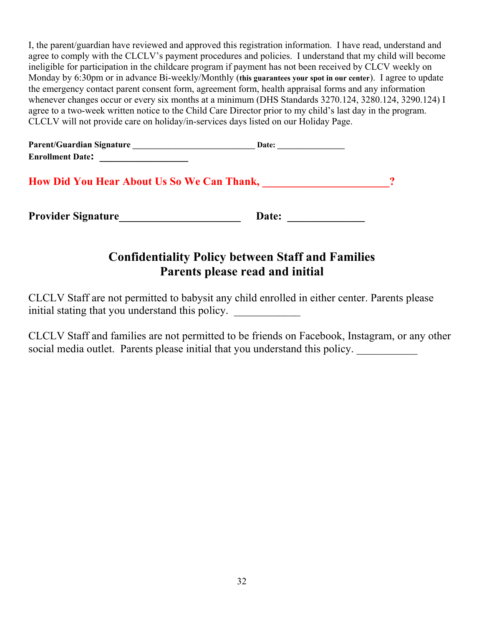I, the parent/guardian have reviewed and approved this registration information. I have read, understand and agree to comply with the CLCLV's payment procedures and policies. I understand that my child will become ineligible for participation in the childcare program if payment has not been received by CLCV weekly on Monday by 6:30pm or in advance Bi-weekly/Monthly (**this guarantees your spot in our center**). I agree to update the emergency contact parent consent form, agreement form, health appraisal forms and any information whenever changes occur or every six months at a minimum (DHS Standards 3270.124, 3280.124, 3290.124) I agree to a two-week written notice to the Child Care Director prior to my child's last day in the program. CLCLV will not provide care on holiday/in-services days listed on our Holiday Page.

| <b>Parent/Guardian Signature</b> | Date: |
|----------------------------------|-------|
| <b>Enrollment Date:</b>          |       |

**How Did You Hear About Us So We Can Thank,**  $\frac{1}{2}$  **2** 

**Provider Signature\_\_\_\_\_\_\_\_\_\_\_\_\_\_\_\_\_\_\_\_\_\_ Date: \_\_\_\_\_\_\_\_\_\_\_\_\_\_**

# **Confidentiality Policy between Staff and Families Parents please read and initial**

CLCLV Staff are not permitted to babysit any child enrolled in either center. Parents please initial stating that you understand this policy.

CLCLV Staff and families are not permitted to be friends on Facebook, Instagram, or any other social media outlet. Parents please initial that you understand this policy.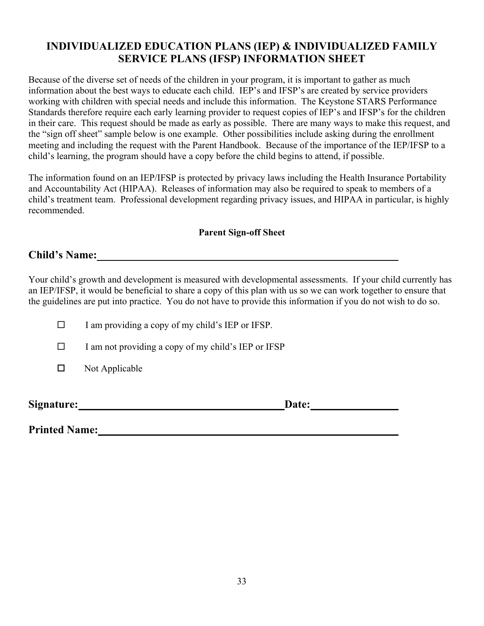### **INDIVIDUALIZED EDUCATION PLANS (IEP) & INDIVIDUALIZED FAMILY SERVICE PLANS (IFSP) INFORMATION SHEET**

Because of the diverse set of needs of the children in your program, it is important to gather as much information about the best ways to educate each child. IEP's and IFSP's are created by service providers working with children with special needs and include this information. The Keystone STARS Performance Standards therefore require each early learning provider to request copies of IEP's and IFSP's for the children in their care. This request should be made as early as possible. There are many ways to make this request, and the "sign off sheet" sample below is one example. Other possibilities include asking during the enrollment meeting and including the request with the Parent Handbook. Because of the importance of the IEP/IFSP to a child's learning, the program should have a copy before the child begins to attend, if possible.

The information found on an IEP/IFSP is protected by privacy laws including the Health Insurance Portability and Accountability Act (HIPAA). Releases of information may also be required to speak to members of a child's treatment team. Professional development regarding privacy issues, and HIPAA in particular, is highly recommended.

#### **Parent Sign-off Sheet**

#### **Child's Name:**

Your child's growth and development is measured with developmental assessments. If your child currently has an IEP/IFSP, it would be beneficial to share a copy of this plan with us so we can work together to ensure that the guidelines are put into practice. You do not have to provide this information if you do not wish to do so.

| $\Box$ | I am providing a copy of my child's IEP or IFSP. |  |  |  |
|--------|--------------------------------------------------|--|--|--|
|--------|--------------------------------------------------|--|--|--|

 $\Box$  I am not providing a copy of my child's IEP or IFSP

 $\Box$  Not Applicable

**Signature: Date:**

**Printed Name:**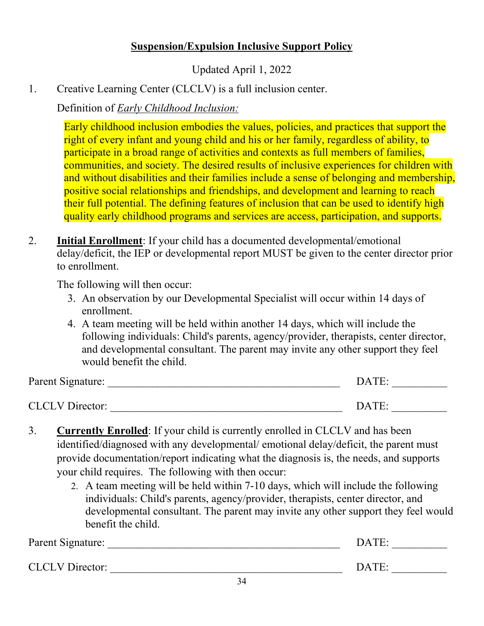# **Suspension/Expulsion Inclusive Support Policy**

Updated April 1, 2022

1. Creative Learning Center (CLCLV) is a full inclusion center.

Definition of *Early Childhood Inclusion:*

Early childhood inclusion embodies the values, policies, and practices that support the right of every infant and young child and his or her family, regardless of ability, to participate in a broad range of activities and contexts as full members of families, communities, and society. The desired results of inclusive experiences for children with and without disabilities and their families include a sense of belonging and membership, positive social relationships and friendships, and development and learning to reach their full potential. The defining features of inclusion that can be used to identify high quality early childhood programs and services are access, participation, and supports.

2. **Initial Enrollment**: If your child has a documented developmental/emotional delay/deficit, the IEP or developmental report MUST be given to the center director prior to enrollment.

The following will then occur:

- 3. An observation by our Developmental Specialist will occur within 14 days of enrollment.
- 4. A team meeting will be held within another 14 days, which will include the following individuals: Child's parents, agency/provider, therapists, center director, and developmental consultant. The parent may invite any other support they feel would benefit the child.

| Parent Signature:      | DATE: |
|------------------------|-------|
|                        |       |
| <b>CLCLV</b> Director: | DATE: |

- 3. **Currently Enrolled**: If your child is currently enrolled in CLCLV and has been identified/diagnosed with any developmental/ emotional delay/deficit, the parent must provide documentation/report indicating what the diagnosis is, the needs, and supports your child requires. The following with then occur:
	- 2. A team meeting will be held within 7-10 days, which will include the following individuals: Child's parents, agency/provider, therapists, center director, and developmental consultant. The parent may invite any other support they feel would benefit the child.

| Parent Signature:      | DATE:           |
|------------------------|-----------------|
| <b>CLCLV</b> Director: | DATE:<br>$\sim$ |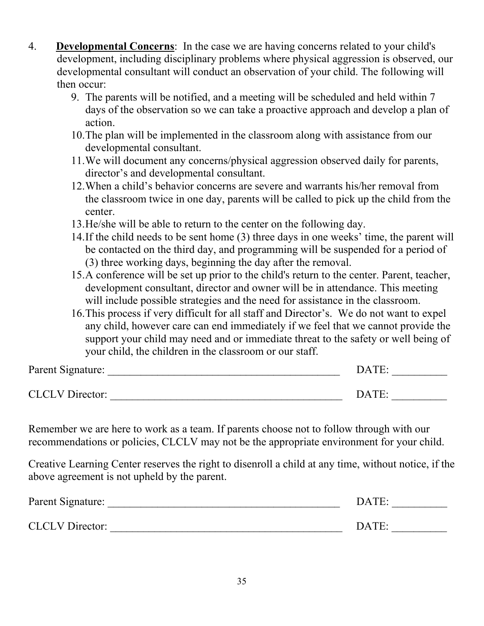- 4. **Developmental Concerns**: In the case we are having concerns related to your child's development, including disciplinary problems where physical aggression is observed, our developmental consultant will conduct an observation of your child. The following will then occur:
	- 9. The parents will be notified, and a meeting will be scheduled and held within 7 days of the observation so we can take a proactive approach and develop a plan of action.
	- 10.The plan will be implemented in the classroom along with assistance from our developmental consultant.
	- 11.We will document any concerns/physical aggression observed daily for parents, director's and developmental consultant.
	- 12.When a child's behavior concerns are severe and warrants his/her removal from the classroom twice in one day, parents will be called to pick up the child from the center.
	- 13.He/she will be able to return to the center on the following day.
	- 14.If the child needs to be sent home (3) three days in one weeks' time, the parent will be contacted on the third day, and programming will be suspended for a period of (3) three working days, beginning the day after the removal.
	- 15.A conference will be set up prior to the child's return to the center. Parent, teacher, development consultant, director and owner will be in attendance. This meeting will include possible strategies and the need for assistance in the classroom.
	- 16.This process if very difficult for all staff and Director's. We do not want to expel any child, however care can end immediately if we feel that we cannot provide the support your child may need and or immediate threat to the safety or well being of your child, the children in the classroom or our staff.

| Parent Signature:      | DATE: |  |
|------------------------|-------|--|
| <b>CLCLV</b> Director: | DATE: |  |

Remember we are here to work as a team. If parents choose not to follow through with our recommendations or policies, CLCLV may not be the appropriate environment for your child.

Creative Learning Center reserves the right to disenroll a child at any time, without notice, if the above agreement is not upheld by the parent.

| Parent Signature:      | DATE: |  |
|------------------------|-------|--|
| <b>CLCLV</b> Director: | DATE: |  |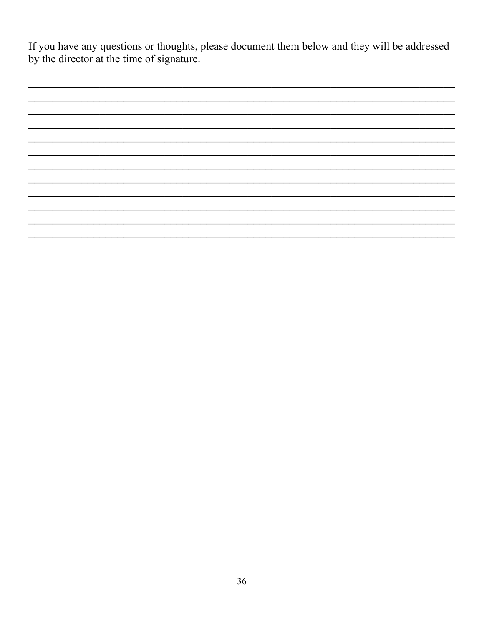If you have any questions or thoughts, please document them below and they will be addressed by the director at the time of signature.